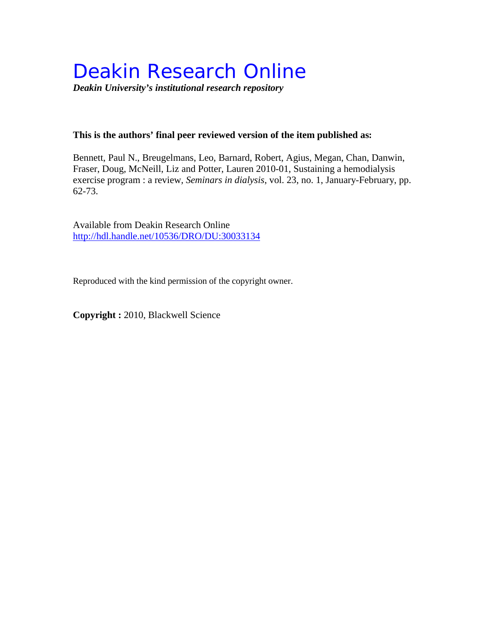# Deakin Research Online

*Deakin University's institutional research repository*

# **This is the authors' final peer reviewed version of the item published as:**

Bennett, Paul N., Breugelmans, Leo, Barnard, Robert, Agius, Megan, Chan, Danwin, Fraser, Doug, McNeill, Liz and Potter, Lauren 2010-01, Sustaining a hemodialysis exercise program : a review*, Seminars in dialysis*, vol. 23, no. 1, January-February, pp. 62-73.

Available from Deakin Research Online <http://hdl.handle.net/10536/DRO/DU:30033134>

Reproduced with the kind permission of the copyright owner.

**Copyright :** 2010, Blackwell Science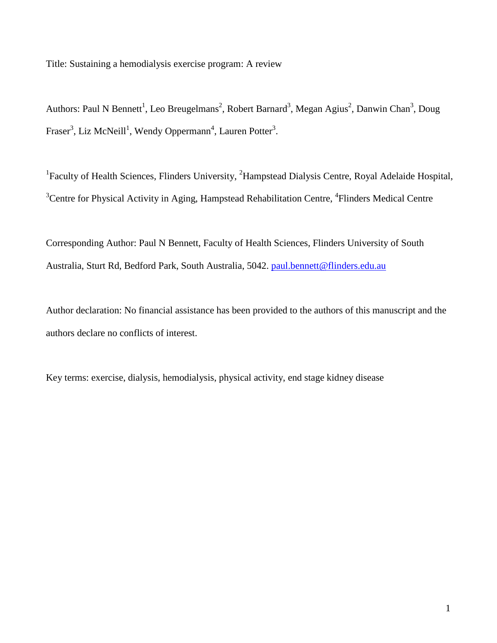Title: Sustaining a hemodialysis exercise program: A review

Authors: Paul N Bennett<sup>1</sup>, Leo Breugelmans<sup>2</sup>, Robert Barnard<sup>3</sup>, Megan Agius<sup>2</sup>, Danwin Chan<sup>3</sup>, Doug Fraser<sup>3</sup>, Liz McNeill<sup>1</sup>, Wendy Oppermann<sup>4</sup>, Lauren Potter<sup>3</sup>.

<sup>1</sup>Faculty of Health Sciences, Flinders University, <sup>2</sup>Hampstead Dialysis Centre, Royal Adelaide Hospital, <sup>3</sup>Centre for Physical Activity in Aging, Hampstead Rehabilitation Centre, <sup>4</sup>Flinders Medical Centre

Corresponding Author: Paul N Bennett, Faculty of Health Sciences, Flinders University of South Australia, Sturt Rd, Bedford Park, South Australia, 5042. [paul.bennett@flinders.edu.au](mailto:paul.bennett@flinders.edu.au)

Author declaration: No financial assistance has been provided to the authors of this manuscript and the authors declare no conflicts of interest.

Key terms: exercise, dialysis, hemodialysis, physical activity, end stage kidney disease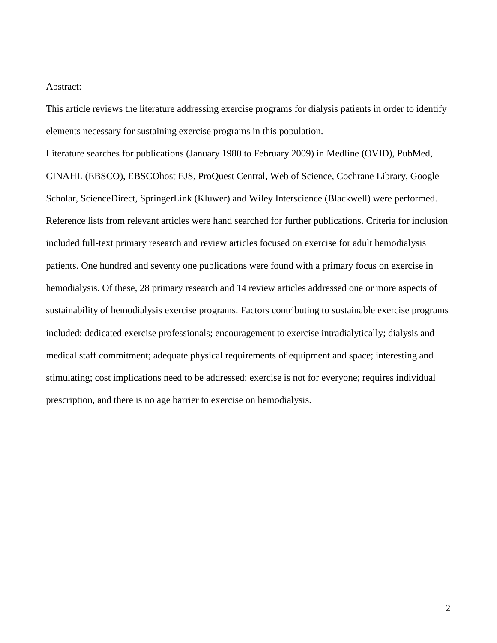# Abstract:

This article reviews the literature addressing exercise programs for dialysis patients in order to identify elements necessary for sustaining exercise programs in this population.

Literature searches for publications (January 1980 to February 2009) in Medline (OVID), PubMed, CINAHL (EBSCO), EBSCOhost EJS, ProQuest Central, Web of Science, Cochrane Library, Google Scholar, ScienceDirect, SpringerLink (Kluwer) and Wiley Interscience (Blackwell) were performed. Reference lists from relevant articles were hand searched for further publications. Criteria for inclusion included full-text primary research and review articles focused on exercise for adult hemodialysis patients. One hundred and seventy one publications were found with a primary focus on exercise in hemodialysis. Of these, 28 primary research and 14 review articles addressed one or more aspects of sustainability of hemodialysis exercise programs. Factors contributing to sustainable exercise programs included: dedicated exercise professionals; encouragement to exercise intradialytically; dialysis and medical staff commitment; adequate physical requirements of equipment and space; interesting and stimulating; cost implications need to be addressed; exercise is not for everyone; requires individual prescription, and there is no age barrier to exercise on hemodialysis.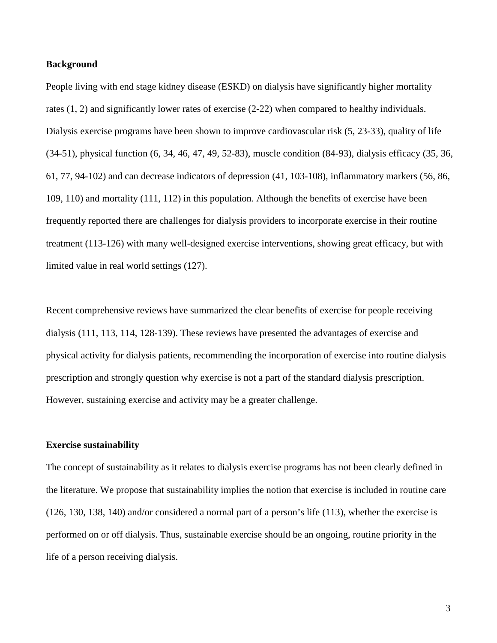# **Background**

People living with end stage kidney disease (ESKD) on dialysis have significantly higher mortality rates (1, 2) and significantly lower rates of exercise (2-22) when compared to healthy individuals. Dialysis exercise programs have been shown to improve cardiovascular risk (5, 23-33), quality of life (34-51), physical function (6, 34, 46, 47, 49, 52-83), muscle condition (84-93), dialysis efficacy (35, 36, 61, 77, 94-102) and can decrease indicators of depression (41, 103-108), inflammatory markers (56, 86, 109, 110) and mortality (111, 112) in this population. Although the benefits of exercise have been frequently reported there are challenges for dialysis providers to incorporate exercise in their routine treatment (113-126) with many well-designed exercise interventions, showing great efficacy, but with limited value in real world settings (127).

Recent comprehensive reviews have summarized the clear benefits of exercise for people receiving dialysis (111, 113, 114, 128-139). These reviews have presented the advantages of exercise and physical activity for dialysis patients, recommending the incorporation of exercise into routine dialysis prescription and strongly question why exercise is not a part of the standard dialysis prescription. However, sustaining exercise and activity may be a greater challenge.

#### **Exercise sustainability**

The concept of sustainability as it relates to dialysis exercise programs has not been clearly defined in the literature. We propose that sustainability implies the notion that exercise is included in routine care (126, 130, 138, 140) and/or considered a normal part of a person's life (113), whether the exercise is performed on or off dialysis. Thus, sustainable exercise should be an ongoing, routine priority in the life of a person receiving dialysis.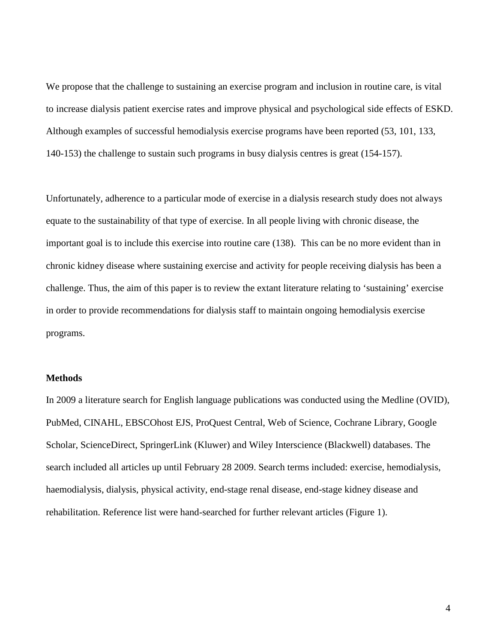We propose that the challenge to sustaining an exercise program and inclusion in routine care, is vital to increase dialysis patient exercise rates and improve physical and psychological side effects of ESKD. Although examples of successful hemodialysis exercise programs have been reported (53, 101, 133, 140-153) the challenge to sustain such programs in busy dialysis centres is great (154-157).

Unfortunately, adherence to a particular mode of exercise in a dialysis research study does not always equate to the sustainability of that type of exercise. In all people living with chronic disease, the important goal is to include this exercise into routine care (138). This can be no more evident than in chronic kidney disease where sustaining exercise and activity for people receiving dialysis has been a challenge. Thus, the aim of this paper is to review the extant literature relating to 'sustaining' exercise in order to provide recommendations for dialysis staff to maintain ongoing hemodialysis exercise programs.

## **Methods**

In 2009 a literature search for English language publications was conducted using the Medline (OVID), PubMed, CINAHL, EBSCOhost EJS, ProQuest Central, Web of Science, Cochrane Library, Google Scholar, ScienceDirect, SpringerLink (Kluwer) and Wiley Interscience (Blackwell) databases. The search included all articles up until February 28 2009. Search terms included: exercise, hemodialysis, haemodialysis, dialysis, physical activity, end-stage renal disease, end-stage kidney disease and rehabilitation. Reference list were hand-searched for further relevant articles (Figure 1).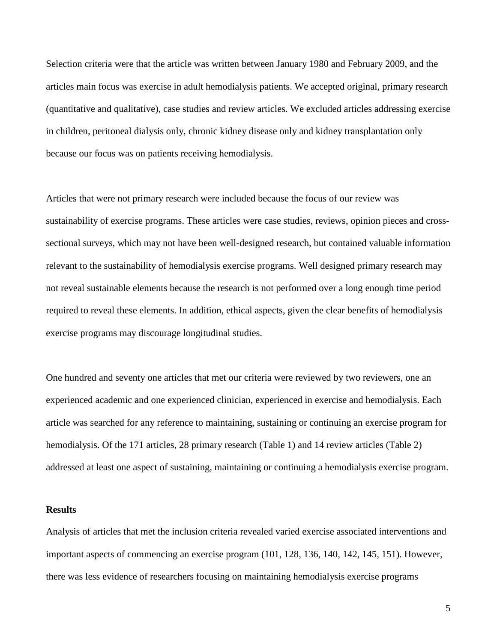Selection criteria were that the article was written between January 1980 and February 2009, and the articles main focus was exercise in adult hemodialysis patients. We accepted original, primary research (quantitative and qualitative), case studies and review articles. We excluded articles addressing exercise in children, peritoneal dialysis only, chronic kidney disease only and kidney transplantation only because our focus was on patients receiving hemodialysis.

Articles that were not primary research were included because the focus of our review was sustainability of exercise programs. These articles were case studies, reviews, opinion pieces and crosssectional surveys, which may not have been well-designed research, but contained valuable information relevant to the sustainability of hemodialysis exercise programs. Well designed primary research may not reveal sustainable elements because the research is not performed over a long enough time period required to reveal these elements. In addition, ethical aspects, given the clear benefits of hemodialysis exercise programs may discourage longitudinal studies.

One hundred and seventy one articles that met our criteria were reviewed by two reviewers, one an experienced academic and one experienced clinician, experienced in exercise and hemodialysis. Each article was searched for any reference to maintaining, sustaining or continuing an exercise program for hemodialysis. Of the 171 articles, 28 primary research (Table 1) and 14 review articles (Table 2) addressed at least one aspect of sustaining, maintaining or continuing a hemodialysis exercise program.

# **Results**

Analysis of articles that met the inclusion criteria revealed varied exercise associated interventions and important aspects of commencing an exercise program (101, 128, 136, 140, 142, 145, 151). However, there was less evidence of researchers focusing on maintaining hemodialysis exercise programs

5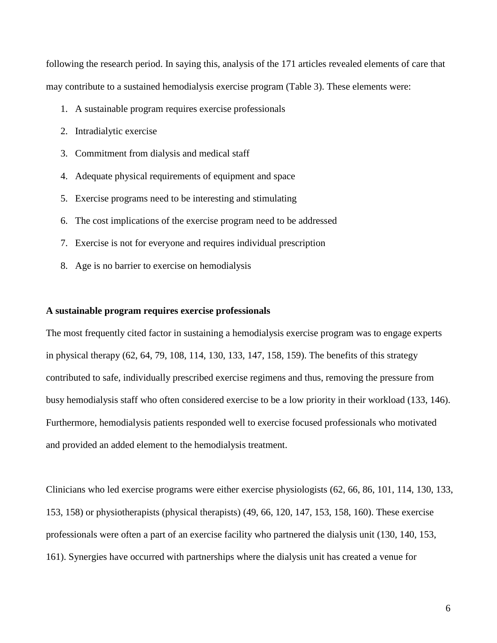following the research period. In saying this, analysis of the 171 articles revealed elements of care that may contribute to a sustained hemodialysis exercise program (Table 3). These elements were:

- 1. A sustainable program requires exercise professionals
- 2. Intradialytic exercise
- 3. Commitment from dialysis and medical staff
- 4. Adequate physical requirements of equipment and space
- 5. Exercise programs need to be interesting and stimulating
- 6. The cost implications of the exercise program need to be addressed
- 7. Exercise is not for everyone and requires individual prescription
- 8. Age is no barrier to exercise on hemodialysis

#### **A sustainable program requires exercise professionals**

The most frequently cited factor in sustaining a hemodialysis exercise program was to engage experts in physical therapy (62, 64, 79, 108, 114, 130, 133, 147, 158, 159). The benefits of this strategy contributed to safe, individually prescribed exercise regimens and thus, removing the pressure from busy hemodialysis staff who often considered exercise to be a low priority in their workload (133, 146). Furthermore, hemodialysis patients responded well to exercise focused professionals who motivated and provided an added element to the hemodialysis treatment.

Clinicians who led exercise programs were either exercise physiologists (62, 66, 86, 101, 114, 130, 133, 153, 158) or physiotherapists (physical therapists) (49, 66, 120, 147, 153, 158, 160). These exercise professionals were often a part of an exercise facility who partnered the dialysis unit (130, 140, 153, 161). Synergies have occurred with partnerships where the dialysis unit has created a venue for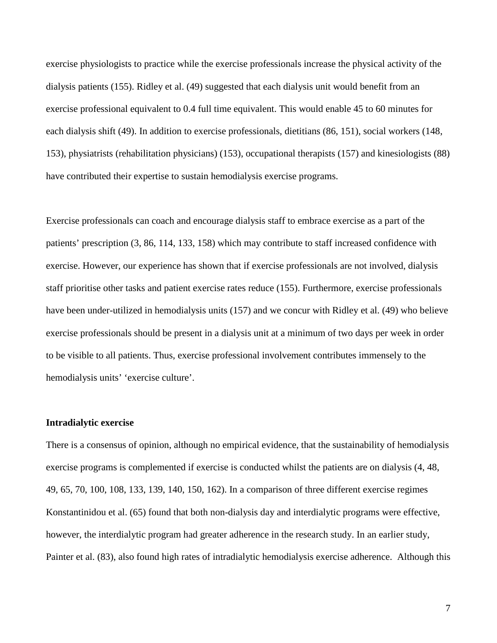exercise physiologists to practice while the exercise professionals increase the physical activity of the dialysis patients (155). Ridley et al. (49) suggested that each dialysis unit would benefit from an exercise professional equivalent to 0.4 full time equivalent. This would enable 45 to 60 minutes for each dialysis shift (49). In addition to exercise professionals, dietitians (86, 151), social workers (148, 153), physiatrists (rehabilitation physicians) (153), occupational therapists (157) and kinesiologists (88) have contributed their expertise to sustain hemodialysis exercise programs.

Exercise professionals can coach and encourage dialysis staff to embrace exercise as a part of the patients' prescription (3, 86, 114, 133, 158) which may contribute to staff increased confidence with exercise. However, our experience has shown that if exercise professionals are not involved, dialysis staff prioritise other tasks and patient exercise rates reduce (155). Furthermore, exercise professionals have been under-utilized in hemodialysis units (157) and we concur with Ridley et al. (49) who believe exercise professionals should be present in a dialysis unit at a minimum of two days per week in order to be visible to all patients. Thus, exercise professional involvement contributes immensely to the hemodialysis units' 'exercise culture'.

# **Intradialytic exercise**

There is a consensus of opinion, although no empirical evidence, that the sustainability of hemodialysis exercise programs is complemented if exercise is conducted whilst the patients are on dialysis (4, 48, 49, 65, 70, 100, 108, 133, 139, 140, 150, 162). In a comparison of three different exercise regimes Konstantinidou et al. (65) found that both non-dialysis day and interdialytic programs were effective, however, the interdialytic program had greater adherence in the research study. In an earlier study, Painter et al. (83), also found high rates of intradialytic hemodialysis exercise adherence. Although this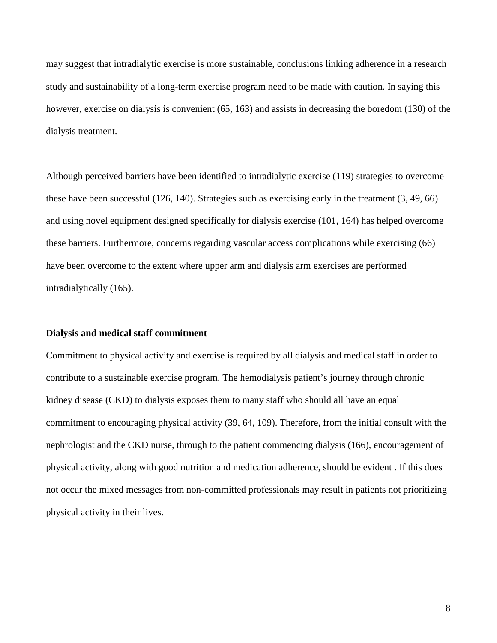may suggest that intradialytic exercise is more sustainable, conclusions linking adherence in a research study and sustainability of a long-term exercise program need to be made with caution. In saying this however, exercise on dialysis is convenient (65, 163) and assists in decreasing the boredom (130) of the dialysis treatment.

Although perceived barriers have been identified to intradialytic exercise (119) strategies to overcome these have been successful (126, 140). Strategies such as exercising early in the treatment (3, 49, 66) and using novel equipment designed specifically for dialysis exercise (101, 164) has helped overcome these barriers. Furthermore, concerns regarding vascular access complications while exercising (66) have been overcome to the extent where upper arm and dialysis arm exercises are performed intradialytically (165).

# **Dialysis and medical staff commitment**

Commitment to physical activity and exercise is required by all dialysis and medical staff in order to contribute to a sustainable exercise program. The hemodialysis patient's journey through chronic kidney disease (CKD) to dialysis exposes them to many staff who should all have an equal commitment to encouraging physical activity (39, 64, 109). Therefore, from the initial consult with the nephrologist and the CKD nurse, through to the patient commencing dialysis (166), encouragement of physical activity, along with good nutrition and medication adherence, should be evident . If this does not occur the mixed messages from non-committed professionals may result in patients not prioritizing physical activity in their lives.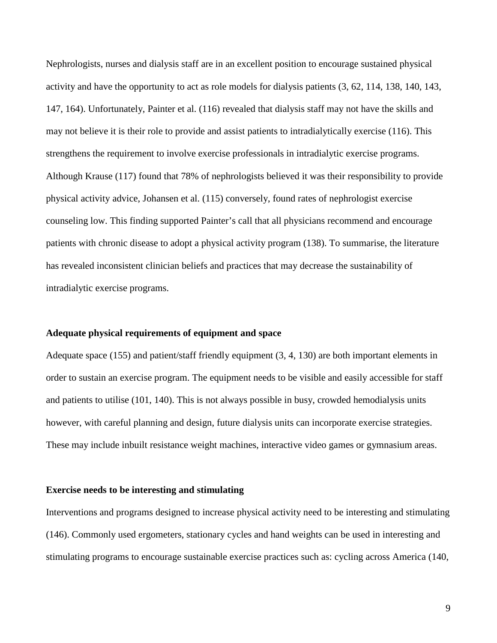Nephrologists, nurses and dialysis staff are in an excellent position to encourage sustained physical activity and have the opportunity to act as role models for dialysis patients (3, 62, 114, 138, 140, 143, 147, 164). Unfortunately, Painter et al. (116) revealed that dialysis staff may not have the skills and may not believe it is their role to provide and assist patients to intradialytically exercise (116). This strengthens the requirement to involve exercise professionals in intradialytic exercise programs. Although Krause (117) found that 78% of nephrologists believed it was their responsibility to provide physical activity advice, Johansen et al. (115) conversely, found rates of nephrologist exercise counseling low. This finding supported Painter's call that all physicians recommend and encourage patients with chronic disease to adopt a physical activity program (138). To summarise, the literature has revealed inconsistent clinician beliefs and practices that may decrease the sustainability of intradialytic exercise programs.

# **Adequate physical requirements of equipment and space**

Adequate space (155) and patient/staff friendly equipment (3, 4, 130) are both important elements in order to sustain an exercise program. The equipment needs to be visible and easily accessible for staff and patients to utilise (101, 140). This is not always possible in busy, crowded hemodialysis units however, with careful planning and design, future dialysis units can incorporate exercise strategies. These may include inbuilt resistance weight machines, interactive video games or gymnasium areas.

## **Exercise needs to be interesting and stimulating**

Interventions and programs designed to increase physical activity need to be interesting and stimulating (146). Commonly used ergometers, stationary cycles and hand weights can be used in interesting and stimulating programs to encourage sustainable exercise practices such as: cycling across America (140,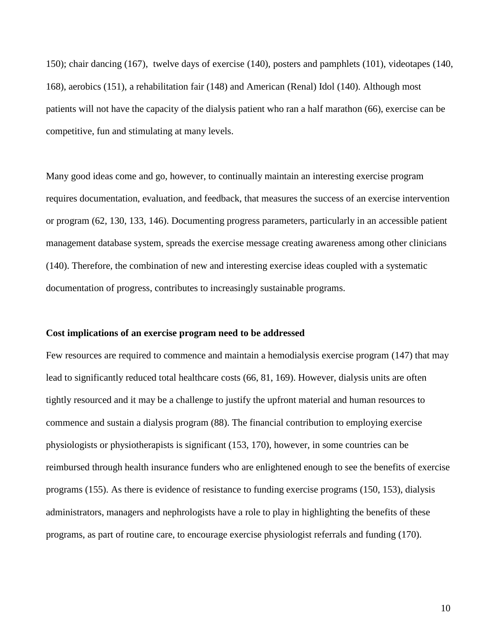150); chair dancing (167), twelve days of exercise (140), posters and pamphlets (101), videotapes (140, 168), aerobics (151), a rehabilitation fair (148) and American (Renal) Idol (140). Although most patients will not have the capacity of the dialysis patient who ran a half marathon (66), exercise can be competitive, fun and stimulating at many levels.

Many good ideas come and go, however, to continually maintain an interesting exercise program requires documentation, evaluation, and feedback, that measures the success of an exercise intervention or program (62, 130, 133, 146). Documenting progress parameters, particularly in an accessible patient management database system, spreads the exercise message creating awareness among other clinicians (140). Therefore, the combination of new and interesting exercise ideas coupled with a systematic documentation of progress, contributes to increasingly sustainable programs.

#### **Cost implications of an exercise program need to be addressed**

Few resources are required to commence and maintain a hemodialysis exercise program (147) that may lead to significantly reduced total healthcare costs (66, 81, 169). However, dialysis units are often tightly resourced and it may be a challenge to justify the upfront material and human resources to commence and sustain a dialysis program (88). The financial contribution to employing exercise physiologists or physiotherapists is significant (153, 170), however, in some countries can be reimbursed through health insurance funders who are enlightened enough to see the benefits of exercise programs (155). As there is evidence of resistance to funding exercise programs (150, 153), dialysis administrators, managers and nephrologists have a role to play in highlighting the benefits of these programs, as part of routine care, to encourage exercise physiologist referrals and funding (170).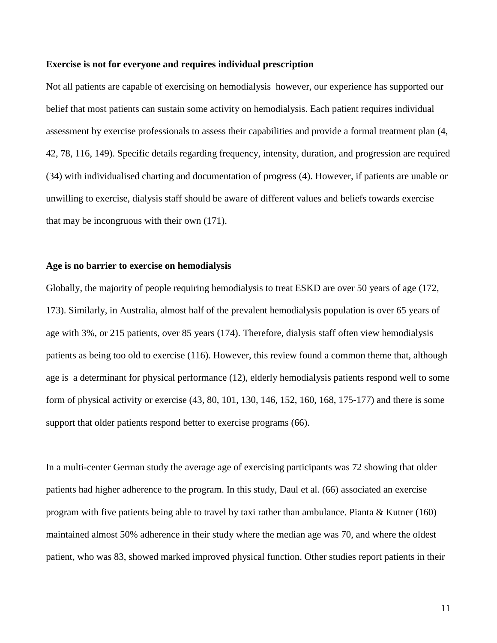# **Exercise is not for everyone and requires individual prescription**

Not all patients are capable of exercising on hemodialysis however, our experience has supported our belief that most patients can sustain some activity on hemodialysis. Each patient requires individual assessment by exercise professionals to assess their capabilities and provide a formal treatment plan (4, 42, 78, 116, 149). Specific details regarding frequency, intensity, duration, and progression are required (34) with individualised charting and documentation of progress (4). However, if patients are unable or unwilling to exercise, dialysis staff should be aware of different values and beliefs towards exercise that may be incongruous with their own (171).

# **Age is no barrier to exercise on hemodialysis**

Globally, the majority of people requiring hemodialysis to treat ESKD are over 50 years of age (172, 173). Similarly, in Australia, almost half of the prevalent hemodialysis population is over 65 years of age with 3%, or 215 patients, over 85 years (174). Therefore, dialysis staff often view hemodialysis patients as being too old to exercise (116). However, this review found a common theme that, although age is a determinant for physical performance (12), elderly hemodialysis patients respond well to some form of physical activity or exercise (43, 80, 101, 130, 146, 152, 160, 168, 175-177) and there is some support that older patients respond better to exercise programs (66).

In a multi-center German study the average age of exercising participants was 72 showing that older patients had higher adherence to the program. In this study, Daul et al. (66) associated an exercise program with five patients being able to travel by taxi rather than ambulance. Pianta & Kutner (160) maintained almost 50% adherence in their study where the median age was 70, and where the oldest patient, who was 83, showed marked improved physical function. Other studies report patients in their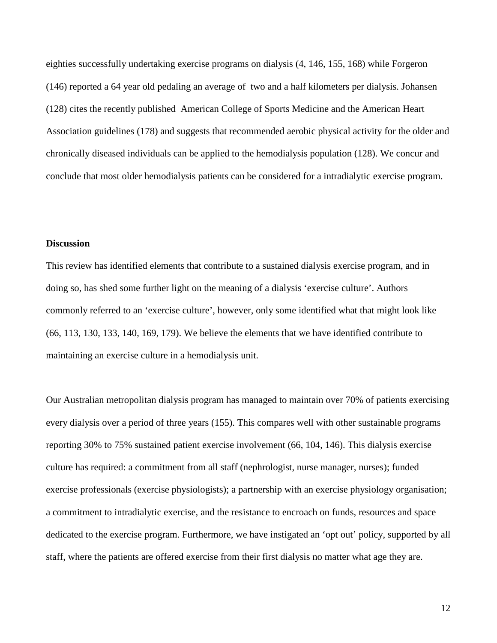eighties successfully undertaking exercise programs on dialysis (4, 146, 155, 168) while Forgeron (146) reported a 64 year old pedaling an average of two and a half kilometers per dialysis. Johansen (128) cites the recently published American College of Sports Medicine and the American Heart Association guidelines (178) and suggests that recommended aerobic physical activity for the older and chronically diseased individuals can be applied to the hemodialysis population (128). We concur and conclude that most older hemodialysis patients can be considered for a intradialytic exercise program.

# **Discussion**

This review has identified elements that contribute to a sustained dialysis exercise program, and in doing so, has shed some further light on the meaning of a dialysis 'exercise culture'. Authors commonly referred to an 'exercise culture', however, only some identified what that might look like (66, 113, 130, 133, 140, 169, 179). We believe the elements that we have identified contribute to maintaining an exercise culture in a hemodialysis unit.

Our Australian metropolitan dialysis program has managed to maintain over 70% of patients exercising every dialysis over a period of three years (155). This compares well with other sustainable programs reporting 30% to 75% sustained patient exercise involvement (66, 104, 146). This dialysis exercise culture has required: a commitment from all staff (nephrologist, nurse manager, nurses); funded exercise professionals (exercise physiologists); a partnership with an exercise physiology organisation; a commitment to intradialytic exercise, and the resistance to encroach on funds, resources and space dedicated to the exercise program. Furthermore, we have instigated an 'opt out' policy, supported by all staff, where the patients are offered exercise from their first dialysis no matter what age they are.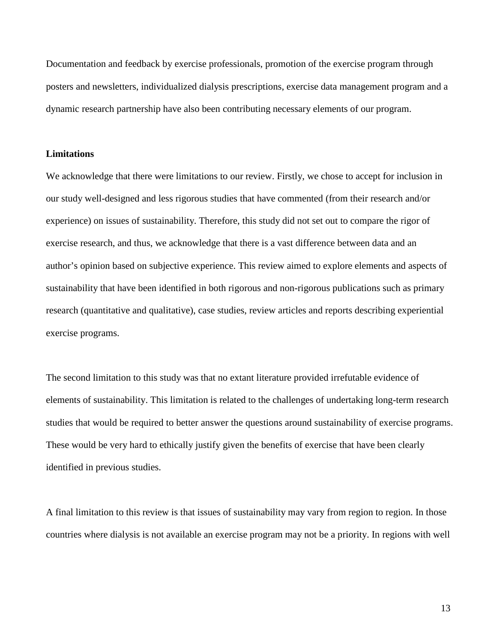Documentation and feedback by exercise professionals, promotion of the exercise program through posters and newsletters, individualized dialysis prescriptions, exercise data management program and a dynamic research partnership have also been contributing necessary elements of our program.

# **Limitations**

We acknowledge that there were limitations to our review. Firstly, we chose to accept for inclusion in our study well-designed and less rigorous studies that have commented (from their research and/or experience) on issues of sustainability. Therefore, this study did not set out to compare the rigor of exercise research, and thus, we acknowledge that there is a vast difference between data and an author's opinion based on subjective experience. This review aimed to explore elements and aspects of sustainability that have been identified in both rigorous and non-rigorous publications such as primary research (quantitative and qualitative), case studies, review articles and reports describing experiential exercise programs.

The second limitation to this study was that no extant literature provided irrefutable evidence of elements of sustainability. This limitation is related to the challenges of undertaking long-term research studies that would be required to better answer the questions around sustainability of exercise programs. These would be very hard to ethically justify given the benefits of exercise that have been clearly identified in previous studies.

A final limitation to this review is that issues of sustainability may vary from region to region. In those countries where dialysis is not available an exercise program may not be a priority. In regions with well

13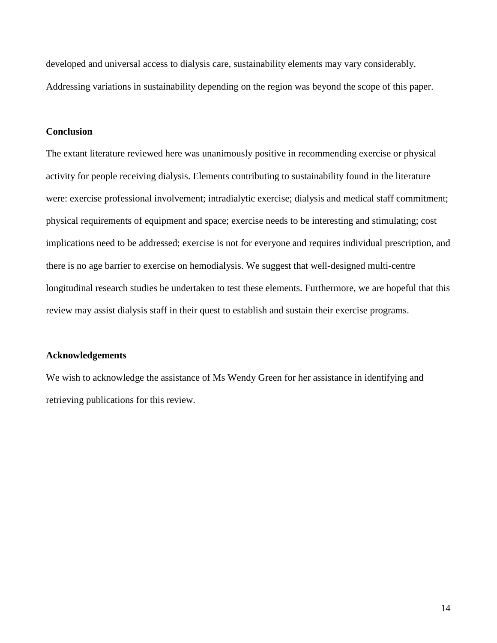developed and universal access to dialysis care, sustainability elements may vary considerably. Addressing variations in sustainability depending on the region was beyond the scope of this paper.

# **Conclusion**

The extant literature reviewed here was unanimously positive in recommending exercise or physical activity for people receiving dialysis. Elements contributing to sustainability found in the literature were: exercise professional involvement; intradialytic exercise; dialysis and medical staff commitment; physical requirements of equipment and space; exercise needs to be interesting and stimulating; cost implications need to be addressed; exercise is not for everyone and requires individual prescription, and there is no age barrier to exercise on hemodialysis. We suggest that well-designed multi-centre longitudinal research studies be undertaken to test these elements. Furthermore, we are hopeful that this review may assist dialysis staff in their quest to establish and sustain their exercise programs.

# **Acknowledgements**

We wish to acknowledge the assistance of Ms Wendy Green for her assistance in identifying and retrieving publications for this review.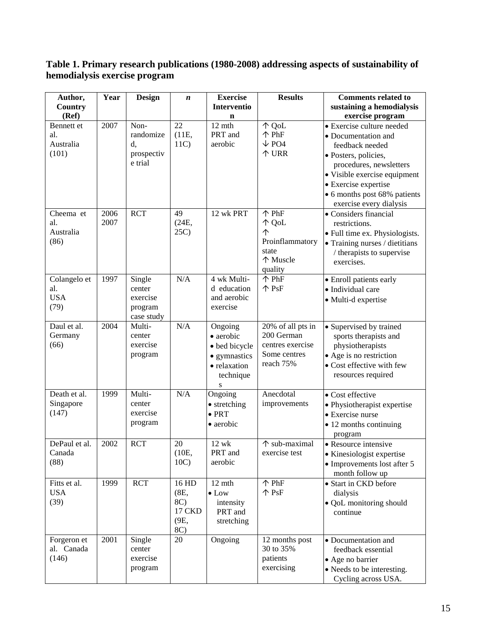# **Table 1. Primary research publications (1980-2008) addressing aspects of sustainability of hemodialysis exercise program**

| Author,                                   | Year         | <b>Design</b>                                         | n                                             | <b>Exercise</b>                                                                         | <b>Results</b>                                                                   | <b>Comments related to</b>                                                                                                                                                                                                                |
|-------------------------------------------|--------------|-------------------------------------------------------|-----------------------------------------------|-----------------------------------------------------------------------------------------|----------------------------------------------------------------------------------|-------------------------------------------------------------------------------------------------------------------------------------------------------------------------------------------------------------------------------------------|
| Country                                   |              |                                                       |                                               | <b>Interventio</b>                                                                      |                                                                                  | sustaining a hemodialysis                                                                                                                                                                                                                 |
| (Ref)                                     |              |                                                       |                                               | $\mathbf n$                                                                             |                                                                                  | exercise program                                                                                                                                                                                                                          |
| Bennett et<br>al.<br>Australia<br>(101)   | 2007         | Non-<br>randomize<br>d,<br>prospectiv<br>e trial      | 22<br>(11E,<br>11C                            | $12 \text{ mth}$<br>PRT and<br>aerobic                                                  | ↑ QoL<br>个 PhF<br>$\sqrt{\text{PO4}}$<br>个 URR                                   | • Exercise culture needed<br>• Documentation and<br>feedback needed<br>· Posters, policies,<br>procedures, newsletters<br>• Visible exercise equipment<br>• Exercise expertise<br>• 6 months post 68% patients<br>exercise every dialysis |
| Cheema et<br>al.<br>Australia<br>(86)     | 2006<br>2007 | <b>RCT</b>                                            | 49<br>(24E,<br>25C                            | 12 wk PRT                                                                               | $\uparrow$ PhF<br>个 QoL<br>个<br>Proinflammatory<br>state<br>个 Muscle<br>quality  | • Considers financial<br>restrictions.<br>• Full time ex. Physiologists.<br>• Training nurses / dietitians<br>/ therapists to supervise<br>exercises.                                                                                     |
| Colangelo et<br>al.<br><b>USA</b><br>(79) | 1997         | Single<br>center<br>exercise<br>program<br>case study | N/A                                           | 4 wk Multi-<br>d education<br>and aerobic<br>exercise                                   | 个 PhF<br>$\mathcal{P}$ PsF                                                       | • Enroll patients early<br>· Individual care<br>· Multi-d expertise                                                                                                                                                                       |
| Daul et al.<br>Germany<br>(66)            | 2004         | Multi-<br>center<br>exercise<br>program               | N/A                                           | Ongoing<br>• aerobic<br>· bed bicycle<br>• gymnastics<br>· relaxation<br>technique<br>S | 20% of all pts in<br>200 German<br>centres exercise<br>Some centres<br>reach 75% | • Supervised by trained<br>sports therapists and<br>physiotherapists<br>• Age is no restriction<br>• Cost effective with few<br>resources required                                                                                        |
| Death et al.<br>Singapore<br>(147)        | 1999         | Multi-<br>center<br>exercise<br>program               | N/A                                           | Ongoing<br>• stretching<br>$\bullet$ PRT<br>• aerobic                                   | Anecdotal<br>improvements                                                        | • Cost effective<br>• Physiotherapist expertise<br>• Exercise nurse<br>• 12 months continuing<br>program                                                                                                                                  |
| DePaul et al.<br>Canada<br>(88)           | 2002         | <b>RCT</b>                                            | 20<br>(10E,<br>10C                            | 12 wk<br>PRT and<br>aerobic                                                             | $\overline{\uparrow}$ sub-maximal<br>exercise test                               | • Resource intensive<br>· Kinesiologist expertise<br>• Improvements lost after 5<br>month follow up                                                                                                                                       |
| Fitts et al.<br><b>USA</b><br>(39)        | 1999         | <b>RCT</b>                                            | 16 HD<br>(8E,<br>8C)<br>17 CKD<br>(9E,<br>8C) | 12 mth<br>$\bullet$ Low<br>intensity<br>PRT and<br>stretching                           | 个 PhF<br>个 PsF                                                                   | • Start in CKD before<br>dialysis<br>• QoL monitoring should<br>continue                                                                                                                                                                  |
| Forgeron et<br>al. Canada<br>(146)        | 2001         | Single<br>center<br>exercise<br>program               | 20                                            | Ongoing                                                                                 | 12 months post<br>30 to 35%<br>patients<br>exercising                            | • Documentation and<br>feedback essential<br>• Age no barrier<br>• Needs to be interesting.<br>Cycling across USA.                                                                                                                        |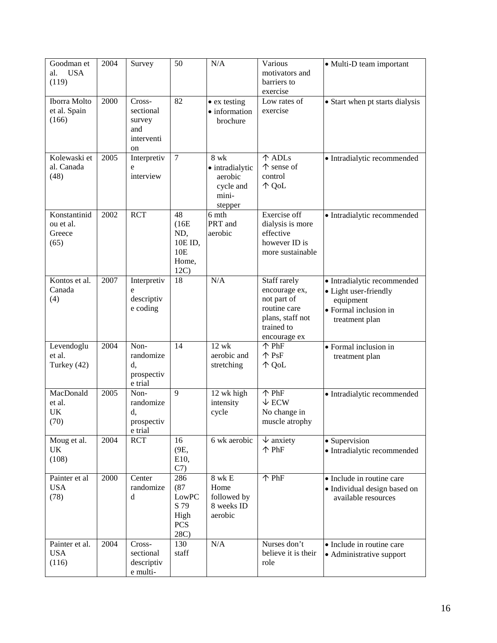| Goodman et<br><b>USA</b><br>al.<br>(119)    | 2004 | Survey                                                   | 50                                                         | N/A                                                                 | Various<br>motivators and<br>barriers to<br>exercise                                                           | • Multi-D team important                                                                                     |
|---------------------------------------------|------|----------------------------------------------------------|------------------------------------------------------------|---------------------------------------------------------------------|----------------------------------------------------------------------------------------------------------------|--------------------------------------------------------------------------------------------------------------|
| Iborra Molto<br>et al. Spain<br>(166)       | 2000 | Cross-<br>sectional<br>survey<br>and<br>interventi<br>on | 82                                                         | • ex testing<br>· information<br>brochure                           | Low rates of<br>exercise                                                                                       | • Start when pt starts dialysis                                                                              |
| Kolewaski et<br>al. Canada<br>(48)          | 2005 | Interpretiv<br>e<br>interview                            | $\overline{7}$                                             | 8 wk<br>· intradialytic<br>aerobic<br>cycle and<br>mini-<br>stepper | 个 ADLs<br>↑ sense of<br>control<br>个 QoL                                                                       | · Intradialytic recommended                                                                                  |
| Konstantinid<br>ou et al.<br>Greece<br>(65) | 2002 | <b>RCT</b>                                               | 48<br>(16E)<br>ND,<br>10E ID,<br>10E<br>Home,<br>12C       | 6 mth<br>PRT and<br>aerobic                                         | Exercise off<br>dialysis is more<br>effective<br>however ID is<br>more sustainable                             | · Intradialytic recommended                                                                                  |
| Kontos et al.<br>Canada<br>(4)              | 2007 | Interpretiv<br>e<br>descriptiv<br>e coding               | 18                                                         | N/A                                                                 | Staff rarely<br>encourage ex,<br>not part of<br>routine care<br>plans, staff not<br>trained to<br>encourage ex | · Intradialytic recommended<br>• Light user-friendly<br>equipment<br>• Formal inclusion in<br>treatment plan |
| Levendoglu<br>et al.<br>Turkey (42)         | 2004 | Non-<br>randomize<br>d,<br>prospectiv<br>e trial         | 14                                                         | $12$ wk<br>aerobic and<br>stretching                                | $\uparrow$ PhF<br>$\mathsf{\uparrow}$ PsF<br>个 QoL                                                             | • Formal inclusion in<br>treatment plan                                                                      |
| MacDonald<br>et al.<br>UK<br>(70)           | 2005 | Non-<br>randomize<br>d,<br>prospectiv<br>e trial         | 9                                                          | 12 wk high<br>intensity<br>cycle                                    | 个 PhF<br>$\downarrow$ ECW<br>No change in<br>muscle atrophy                                                    | · Intradialytic recommended                                                                                  |
| Moug et al.<br>UK<br>(108)                  | 2004 | <b>RCT</b>                                               | 16<br>(9E,<br>E10,<br>C <sub>7</sub>                       | 6 wk aerobic                                                        | $\downarrow$ anxiety<br>个 PhF                                                                                  | • Supervision<br>· Intradialytic recommended                                                                 |
| Painter et al<br><b>USA</b><br>(78)         | 2000 | Center<br>randomize<br>d                                 | 286<br>(87)<br>LowPC<br>S 79<br>High<br><b>PCS</b><br>28C) | $8$ wk $\rm E$<br>Home<br>followed by<br>8 weeks ID<br>aerobic      | 个 PhF                                                                                                          | • Include in routine care<br>· Individual design based on<br>available resources                             |
| Painter et al.<br><b>USA</b><br>(116)       | 2004 | Cross-<br>sectional<br>descriptiv<br>e multi-            | 130<br>staff                                               | N/A                                                                 | Nurses don't<br>believe it is their<br>role                                                                    | • Include in routine care<br>• Administrative support                                                        |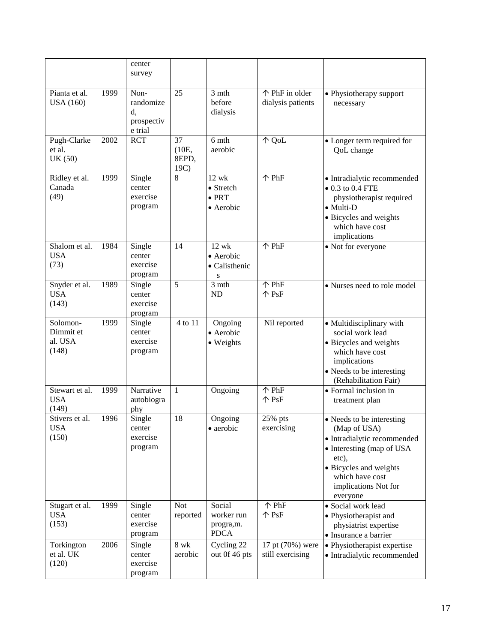|                                           |      | center<br>survey                                 |                              |                                                  |                                      |                                                                                                                                                                                                 |
|-------------------------------------------|------|--------------------------------------------------|------------------------------|--------------------------------------------------|--------------------------------------|-------------------------------------------------------------------------------------------------------------------------------------------------------------------------------------------------|
| Pianta et al.<br><b>USA</b> (160)         | 1999 | Non-<br>randomize<br>d,<br>prospectiv<br>e trial | 25                           | 3 mth<br>before<br>dialysis                      | ↑ PhF in older<br>dialysis patients  | • Physiotherapy support<br>necessary                                                                                                                                                            |
| Pugh-Clarke<br>et al.<br>UK(50)           | 2002 | <b>RCT</b>                                       | 37<br>(10E,<br>8EPD,<br>19C) | 6 mth<br>aerobic                                 | 个 QoL                                | • Longer term required for<br>QoL change                                                                                                                                                        |
| Ridley et al.<br>Canada<br>(49)           | 1999 | Single<br>center<br>exercise<br>program          | 8                            | 12 wk<br>• Stretch<br>$\bullet$ PRT<br>• Aerobic | $\overline{\text{PhF}}$              | · Intradialytic recommended<br>$\bullet$ 0.3 to 0.4 FTE<br>physiotherapist required<br>$\bullet$ Multi-D<br>· Bicycles and weights<br>which have cost<br>implications                           |
| Shalom et al.<br><b>USA</b><br>(73)       | 1984 | Single<br>center<br>exercise<br>program          | 14                           | $12$ wk<br>• Aerobic<br>• Calisthenic<br>S       | $\uparrow$ PhF                       | • Not for everyone                                                                                                                                                                              |
| Snyder et al.<br><b>USA</b><br>(143)      | 1989 | Single<br>center<br>exercise<br>program          | $\overline{5}$               | 3 mth<br><b>ND</b>                               | 个 PhF<br>个 PsF                       | • Nurses need to role model                                                                                                                                                                     |
| Solomon-<br>Dimmit et<br>al. USA<br>(148) | 1999 | Single<br>center<br>exercise<br>program          | 4 to 11                      | Ongoing<br>· Aerobic<br>• Weights                | Nil reported                         | • Multidisciplinary with<br>social work lead<br>• Bicycles and weights<br>which have cost<br>implications<br>• Needs to be interesting<br>(Rehabilitation Fair)                                 |
| Stewart et al.<br><b>USA</b><br>(149)     | 1999 | Narrative<br>autobiogra<br>phy                   | $\mathbf{1}$                 | Ongoing                                          | 个 PhF<br>$\mathcal{P}$ PsF           | • Formal inclusion in<br>treatment plan                                                                                                                                                         |
| Stivers et al.<br><b>USA</b><br>(150)     | 1996 | Single<br>center<br>exercise<br>program          | 18                           | Ongoing<br>• aerobic                             | 25% pts<br>exercising                | • Needs to be interesting<br>(Map of USA)<br>· Intradialytic recommended<br>• Interesting (map of USA<br>etc),<br>• Bicycles and weights<br>which have cost<br>implications Not for<br>everyone |
| Stugart et al.<br><b>USA</b><br>(153)     | 1999 | Single<br>center<br>exercise<br>program          | <b>Not</b><br>reported       | Social<br>worker run<br>progra,m.<br><b>PDCA</b> | 个 PhF<br>个 PsF                       | · Social work lead<br>• Physiotherapist and<br>physiatrist expertise<br>· Insurance a barrier                                                                                                   |
| Torkington<br>et al. UK<br>(120)          | 2006 | Single<br>center<br>exercise<br>program          | $8 \mathrm{~wk}$<br>aerobic  | Cycling 22<br>out 0f 46 pts                      | 17 pt (70%) were<br>still exercising | · Physiotherapist expertise<br>· Intradialytic recommended                                                                                                                                      |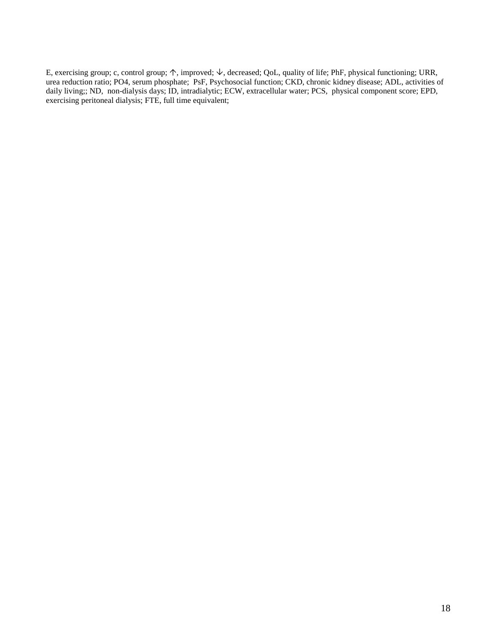E, exercising group; c, control group;  $\uparrow$ , improved;  $\downarrow$ , decreased; QoL, quality of life; PhF, physical functioning; URR, urea reduction ratio; PO4, serum phosphate; PsF, Psychosocial function; CKD, chronic kidney disease; ADL, activities of daily living;; ND, non-dialysis days; ID, intradialytic; ECW, extracellular water; PCS, physical component score; EPD, exercising peritoneal dialysis; FTE, full time equivalent;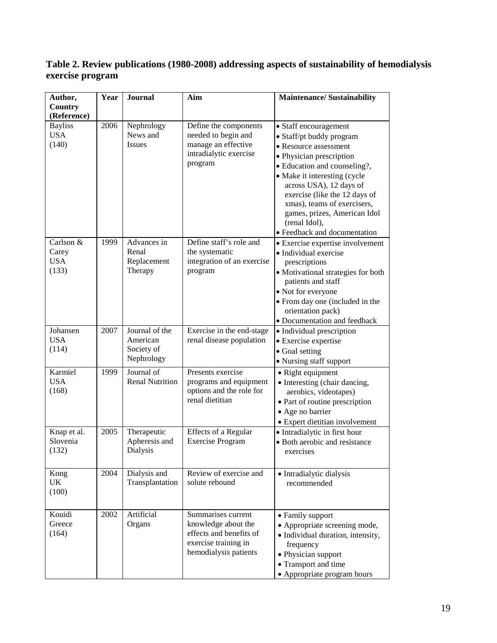# **Table 2. Review publications (1980-2008) addressing aspects of sustainability of hemodialysis exercise program**

| Author,                | Year | <b>Journal</b>            | Aim                        | <b>Maintenance/Sustainability</b>                                                                                                                                        |
|------------------------|------|---------------------------|----------------------------|--------------------------------------------------------------------------------------------------------------------------------------------------------------------------|
| Country<br>(Reference) |      |                           |                            |                                                                                                                                                                          |
| <b>Bayliss</b>         | 2006 | Nephrology                | Define the components      | • Staff encouragement                                                                                                                                                    |
| <b>USA</b>             |      | News and                  | needed to begin and        | • Staff/pt buddy program                                                                                                                                                 |
| (140)                  |      | <b>Issues</b>             | manage an effective        | • Resource assessment                                                                                                                                                    |
|                        |      |                           | intradialytic exercise     | • Physician prescription                                                                                                                                                 |
|                        |      |                           | program                    | · Education and counseling?,                                                                                                                                             |
|                        |      |                           |                            | • Make it interesting (cycle<br>across USA), 12 days of<br>exercise (like the 12 days of<br>xmas), teams of exercisers,<br>games, prizes, American Idol<br>(renal Idol), |
|                        |      |                           |                            | • Feedback and documentation                                                                                                                                             |
| Carlson &              | 1999 | Advances in               | Define staff's role and    | • Exercise expertise involvement                                                                                                                                         |
| Carey                  |      | Renal                     | the systematic             | • Individual exercise                                                                                                                                                    |
| <b>USA</b>             |      | Replacement               | integration of an exercise | prescriptions                                                                                                                                                            |
| (133)                  |      | Therapy                   | program                    | · Motivational strategies for both<br>patients and staff                                                                                                                 |
|                        |      |                           |                            | • Not for everyone                                                                                                                                                       |
|                        |      |                           |                            | • From day one (included in the                                                                                                                                          |
|                        |      |                           |                            | orientation pack)                                                                                                                                                        |
|                        |      |                           |                            | • Documentation and feedback                                                                                                                                             |
| Johansen               | 2007 | Journal of the            | Exercise in the end-stage  | • Individual prescription                                                                                                                                                |
| <b>USA</b>             |      | American                  | renal disease population   | • Exercise expertise                                                                                                                                                     |
| (114)                  |      | Society of                |                            | • Goal setting                                                                                                                                                           |
|                        |      | Nephrology                |                            | • Nursing staff support                                                                                                                                                  |
| Karmiel                | 1999 | Journal of                | Presents exercise          | • Right equipment                                                                                                                                                        |
| <b>USA</b>             |      | <b>Renal Nutrition</b>    | programs and equipment     | • Interesting (chair dancing,                                                                                                                                            |
| (168)                  |      |                           | options and the role for   | aerobics, videotapes)                                                                                                                                                    |
|                        |      |                           | renal dietitian            | • Part of routine prescription                                                                                                                                           |
|                        |      |                           |                            | • Age no barrier                                                                                                                                                         |
|                        |      |                           |                            | · Expert dietitian involvement                                                                                                                                           |
| Knap et al.            | 2005 | Therapeutic               | Effects of a Regular       | • Intradialytic in first hour                                                                                                                                            |
| Slovenia<br>(132)      |      | Apheresis and<br>Dialysis | <b>Exercise Program</b>    | • Both aerobic and resistance<br>exercises                                                                                                                               |
|                        |      |                           |                            |                                                                                                                                                                          |
| Kong                   | 2004 | Dialysis and              | Review of exercise and     | • Intradialytic dialysis                                                                                                                                                 |
| UK                     |      | Transplantation           | solute rebound             | recommended                                                                                                                                                              |
| (100)                  |      |                           |                            |                                                                                                                                                                          |
|                        |      |                           |                            |                                                                                                                                                                          |
| Kouidi                 | 2002 | Artificial                | Summarises current         | • Family support                                                                                                                                                         |
| Greece                 |      | Organs                    | knowledge about the        | • Appropriate screening mode,                                                                                                                                            |
| (164)                  |      |                           | effects and benefits of    | · Individual duration, intensity,                                                                                                                                        |
|                        |      |                           | exercise training in       | frequency                                                                                                                                                                |
|                        |      |                           | hemodialysis patients      | • Physician support                                                                                                                                                      |
|                        |      |                           |                            | • Transport and time                                                                                                                                                     |
|                        |      |                           |                            | • Appropriate program hours                                                                                                                                              |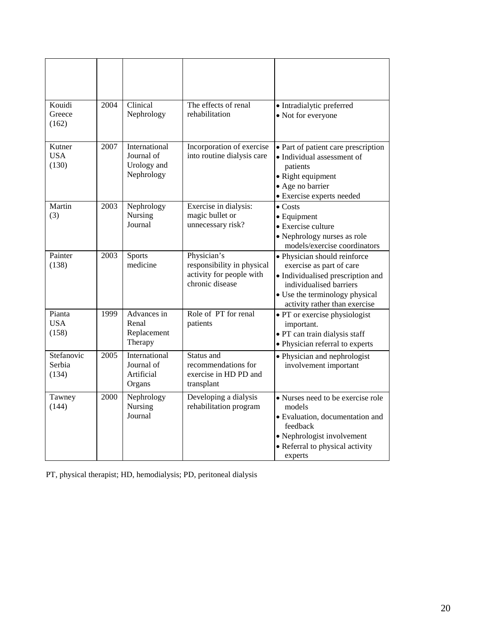| Kouidi<br>Greece<br>(162)     | 2004 | Clinical<br>Nephrology                                   | The effects of renal<br>rehabilitation                                                   | · Intradialytic preferred<br>• Not for everyone                                                                                                                                             |
|-------------------------------|------|----------------------------------------------------------|------------------------------------------------------------------------------------------|---------------------------------------------------------------------------------------------------------------------------------------------------------------------------------------------|
| Kutner<br><b>USA</b><br>(130) | 2007 | International<br>Journal of<br>Urology and<br>Nephrology | Incorporation of exercise<br>into routine dialysis care                                  | • Part of patient care prescription<br>• Individual assessment of<br>patients<br>• Right equipment<br>· Age no barrier<br>• Exercise experts needed                                         |
| Martin<br>(3)                 | 2003 | Nephrology<br>Nursing<br>Journal                         | Exercise in dialysis:<br>magic bullet or<br>unnecessary risk?                            | $\bullet$ Costs<br>$\bullet$ Equipment<br>• Exercise culture<br>• Nephrology nurses as role<br>models/exercise coordinators                                                                 |
| Painter<br>(138)              | 2003 | Sports<br>medicine                                       | Physician's<br>responsibility in physical<br>activity for people with<br>chronic disease | • Physician should reinforce<br>exercise as part of care<br>• Individualised prescription and<br>individualised barriers<br>• Use the terminology physical<br>activity rather than exercise |
| Pianta<br><b>USA</b><br>(158) | 1999 | Advances in<br>Renal<br>Replacement<br>Therapy           | Role of PT for renal<br>patients                                                         | · PT or exercise physiologist<br>important.<br>· PT can train dialysis staff<br>· Physician referral to experts                                                                             |
| Stefanovic<br>Serbia<br>(134) | 2005 | International<br>Journal of<br>Artificial<br>Organs      | Status and<br>recommendations for<br>exercise in HD PD and<br>transplant                 | • Physician and nephrologist<br>involvement important                                                                                                                                       |
| Tawney<br>(144)               | 2000 | Nephrology<br>Nursing<br>Journal                         | Developing a dialysis<br>rehabilitation program                                          | • Nurses need to be exercise role<br>models<br>• Evaluation, documentation and<br>feedback<br>• Nephrologist involvement<br>• Referral to physical activity<br>experts                      |

PT, physical therapist; HD, hemodialysis; PD, peritoneal dialysis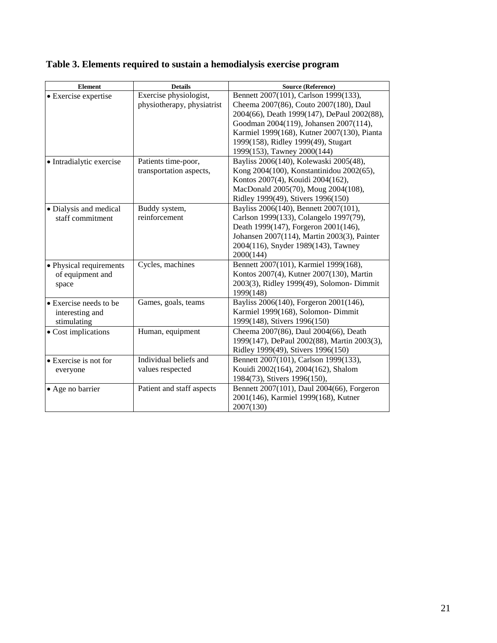|  |  | Table 3. Elements required to sustain a hemodialysis exercise program |
|--|--|-----------------------------------------------------------------------|
|  |  |                                                                       |

| <b>Element</b>                 | <b>Details</b>             | <b>Source (Reference)</b>                   |
|--------------------------------|----------------------------|---------------------------------------------|
| • Exercise expertise           | Exercise physiologist,     | Bennett 2007(101), Carlson 1999(133),       |
|                                | physiotherapy, physiatrist | Cheema 2007(86), Couto 2007(180), Daul      |
|                                |                            | 2004(66), Death 1999(147), DePaul 2002(88), |
|                                |                            | Goodman 2004(119), Johansen 2007(114),      |
|                                |                            | Karmiel 1999(168), Kutner 2007(130), Pianta |
|                                |                            | 1999(158), Ridley 1999(49), Stugart         |
|                                |                            | 1999(153), Tawney 2000(144)                 |
| • Intradialytic exercise       | Patients time-poor,        | Bayliss 2006(140), Kolewaski 2005(48),      |
|                                | transportation aspects,    | Kong 2004(100), Konstantinidou 2002(65),    |
|                                |                            | Kontos 2007(4), Kouidi 2004(162),           |
|                                |                            | MacDonald 2005(70), Moug 2004(108),         |
|                                |                            | Ridley 1999(49), Stivers 1996(150)          |
| • Dialysis and medical         | Buddy system,              | Bayliss 2006(140), Bennett 2007(101),       |
| staff commitment               | reinforcement              | Carlson 1999(133), Colangelo 1997(79),      |
|                                |                            | Death 1999(147), Forgeron 2001(146),        |
|                                |                            | Johansen 2007(114), Martin 2003(3), Painter |
|                                |                            | 2004(116), Snyder 1989(143), Tawney         |
|                                |                            | 2000(144)                                   |
| • Physical requirements        | Cycles, machines           | Bennett 2007(101), Karmiel 1999(168),       |
| of equipment and               |                            | Kontos 2007(4), Kutner 2007(130), Martin    |
| space                          |                            | 2003(3), Ridley 1999(49), Solomon-Dimmit    |
|                                |                            | 1999(148)                                   |
| $\bullet$ Exercise needs to be | Games, goals, teams        | Bayliss 2006(140), Forgeron 2001(146),      |
| interesting and                |                            | Karmiel 1999(168), Solomon- Dimmit          |
| stimulating                    |                            | 1999(148), Stivers 1996(150)                |
| • Cost implications            | Human, equipment           | Cheema 2007(86), Daul 2004(66), Death       |
|                                |                            | 1999(147), DePaul 2002(88), Martin 2003(3), |
|                                |                            | Ridley 1999(49), Stivers 1996(150)          |
| $\bullet$ Exercise is not for  | Individual beliefs and     | Bennett 2007(101), Carlson 1999(133),       |
| everyone                       | values respected           | Kouidi 2002(164), 2004(162), Shalom         |
|                                |                            | 1984(73), Stivers 1996(150),                |
| • Age no barrier               | Patient and staff aspects  | Bennett 2007(101), Daul 2004(66), Forgeron  |
|                                |                            | 2001(146), Karmiel 1999(168), Kutner        |
|                                |                            | 2007(130)                                   |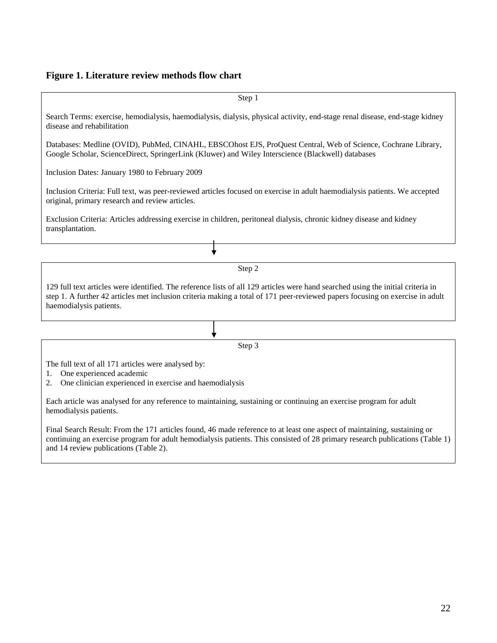# **Figure 1. Literature review methods flow chart**

| Step 1                                                                                                                                                                                                                                                                                       |
|----------------------------------------------------------------------------------------------------------------------------------------------------------------------------------------------------------------------------------------------------------------------------------------------|
| Search Terms: exercise, hemodialysis, haemodialysis, dialysis, physical activity, end-stage renal disease, end-stage kidney<br>disease and rehabilitation                                                                                                                                    |
| Databases: Medline (OVID), PubMed, CINAHL, EBSCOhost EJS, ProQuest Central, Web of Science, Cochrane Library,<br>Google Scholar, ScienceDirect, SpringerLink (Kluwer) and Wiley Interscience (Blackwell) databases                                                                           |
| Inclusion Dates: January 1980 to February 2009                                                                                                                                                                                                                                               |
| Inclusion Criteria: Full text, was peer-reviewed articles focused on exercise in adult haemodialysis patients. We accepted<br>original, primary research and review articles.                                                                                                                |
| Exclusion Criteria: Articles addressing exercise in children, peritoneal dialysis, chronic kidney disease and kidney<br>transplantation.                                                                                                                                                     |
|                                                                                                                                                                                                                                                                                              |
| Step 2                                                                                                                                                                                                                                                                                       |
| 129 full text articles were identified. The reference lists of all 129 articles were hand searched using the initial criteria in<br>step 1. A further 42 articles met inclusion criteria making a total of 171 peer-reviewed papers focusing on exercise in adult<br>haemodialysis patients. |
|                                                                                                                                                                                                                                                                                              |
| Step 3                                                                                                                                                                                                                                                                                       |
| The full text of all 171 articles were analysed by:<br>One experienced academic<br>1.<br>One clinician experienced in exercise and haemodialysis<br>2.                                                                                                                                       |

Each article was analysed for any reference to maintaining, sustaining or continuing an exercise program for adult hemodialysis patients.

Final Search Result: From the 171 articles found, 46 made reference to at least one aspect of maintaining, sustaining or continuing an exercise program for adult hemodialysis patients. This consisted of 28 primary research publications (Table 1) and 14 review publications (Table 2).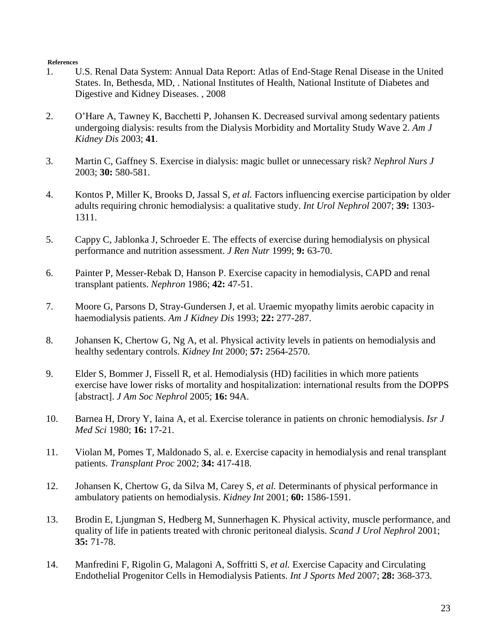#### **References**

- 1. U.S. Renal Data System: Annual Data Report: Atlas of End-Stage Renal Disease in the United States. In, Bethesda, MD, . National Institutes of Health, National Institute of Diabetes and Digestive and Kidney Diseases. , 2008
- 2. O'Hare A, Tawney K, Bacchetti P, Johansen K. Decreased survival among sedentary patients undergoing dialysis: results from the Dialysis Morbidity and Mortality Study Wave 2. *Am J Kidney Dis* 2003; **41**.
- 3. Martin C, Gaffney S. Exercise in dialysis: magic bullet or unnecessary risk? *Nephrol Nurs J* 2003; **30:** 580-581.
- 4. Kontos P, Miller K, Brooks D, Jassal S*, et al.* Factors influencing exercise participation by older adults requiring chronic hemodialysis: a qualitative study. *Int Urol Nephrol* 2007; **39:** 1303- 1311.
- 5. Cappy C, Jablonka J, Schroeder E. The effects of exercise during hemodialysis on physical performance and nutrition assessment. *J Ren Nutr* 1999; **9:** 63-70.
- 6. Painter P, Messer-Rebak D, Hanson P. Exercise capacity in hemodialysis, CAPD and renal transplant patients. *Nephron* 1986; **42:** 47-51.
- 7. Moore G, Parsons D, Stray-Gundersen J, et al. Uraemic myopathy limits aerobic capacity in haemodialysis patients. *Am J Kidney Dis* 1993; **22:** 277-287.
- 8. Johansen K, Chertow G, Ng A, et al. Physical activity levels in patients on hemodialysis and healthy sedentary controls. *Kidney Int* 2000; **57:** 2564-2570.
- 9. Elder S, Bommer J, Fissell R, et al. Hemodialysis (HD) facilities in which more patients exercise have lower risks of mortality and hospitalization: international results from the DOPPS [abstract]. *J Am Soc Nephrol* 2005; **16:** 94A.
- 10. Barnea H, Drory Y, Iaina A, et al. Exercise tolerance in patients on chronic hemodialysis. *Isr J Med Sci* 1980; **16:** 17-21.
- 11. Violan M, Pomes T, Maldonado S, al. e. Exercise capacity in hemodialysis and renal transplant patients. *Transplant Proc* 2002; **34:** 417-418.
- 12. Johansen K, Chertow G, da Silva M, Carey S*, et al.* Determinants of physical performance in ambulatory patients on hemodialysis. *Kidney Int* 2001; **60:** 1586-1591.
- 13. Brodin E, Ljungman S, Hedberg M, Sunnerhagen K. Physical activity, muscle performance, and quality of life in patients treated with chronic peritoneal dialysis. *Scand J Urol Nephrol* 2001; **35:** 71-78.
- 14. Manfredini F, Rigolin G, Malagoni A, Soffritti S*, et al.* Exercise Capacity and Circulating Endothelial Progenitor Cells in Hemodialysis Patients. *Int J Sports Med* 2007; **28:** 368-373.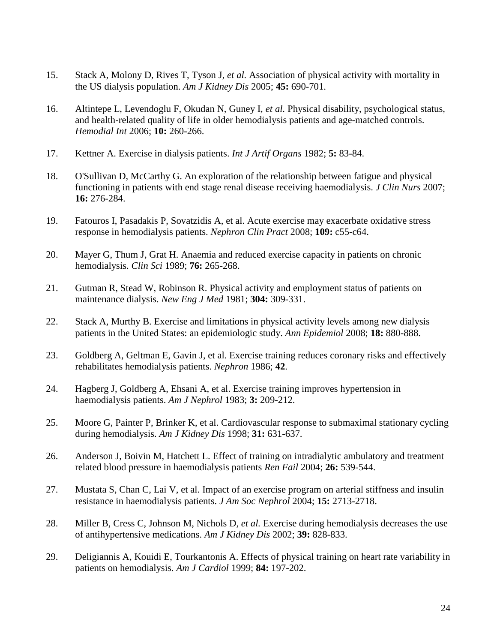- 15. Stack A, Molony D, Rives T, Tyson J*, et al.* Association of physical activity with mortality in the US dialysis population. *Am J Kidney Dis* 2005; **45:** 690-701.
- 16. Altintepe L, Levendoglu F, Okudan N, Guney I*, et al.* Physical disability, psychological status, and health-related quality of life in older hemodialysis patients and age-matched controls. *Hemodial Int* 2006; **10:** 260-266.
- 17. Kettner A. Exercise in dialysis patients. *Int J Artif Organs* 1982; **5:** 83-84.
- 18. O'Sullivan D, McCarthy G. An exploration of the relationship between fatigue and physical functioning in patients with end stage renal disease receiving haemodialysis. *J Clin Nurs* 2007; **16:** 276-284.
- 19. Fatouros I, Pasadakis P, Sovatzidis A, et al. Acute exercise may exacerbate oxidative stress response in hemodialysis patients. *Nephron Clin Pract* 2008; **109:** c55-c64.
- 20. Mayer G, Thum J, Grat H. Anaemia and reduced exercise capacity in patients on chronic hemodialysis. *Clin Sci* 1989; **76:** 265-268.
- 21. Gutman R, Stead W, Robinson R. Physical activity and employment status of patients on maintenance dialysis. *New Eng J Med* 1981; **304:** 309-331.
- 22. Stack A, Murthy B. Exercise and limitations in physical activity levels among new dialysis patients in the United States: an epidemiologic study. *Ann Epidemiol* 2008; **18:** 880-888.
- 23. Goldberg A, Geltman E, Gavin J, et al. Exercise training reduces coronary risks and effectively rehabilitates hemodialysis patients. *Nephron* 1986; **42**.
- 24. Hagberg J, Goldberg A, Ehsani A, et al. Exercise training improves hypertension in haemodialysis patients. *Am J Nephrol* 1983; **3:** 209-212.
- 25. Moore G, Painter P, Brinker K, et al. Cardiovascular response to submaximal stationary cycling during hemodialysis. *Am J Kidney Dis* 1998; **31:** 631-637.
- 26. Anderson J, Boivin M, Hatchett L. Effect of training on intradialytic ambulatory and treatment related blood pressure in haemodialysis patients *Ren Fail* 2004; **26:** 539-544.
- 27. Mustata S, Chan C, Lai V, et al. Impact of an exercise program on arterial stiffness and insulin resistance in haemodialysis patients. *J Am Soc Nephrol* 2004; **15:** 2713-2718.
- 28. Miller B, Cress C, Johnson M, Nichols D*, et al.* Exercise during hemodialysis decreases the use of antihypertensive medications. *Am J Kidney Dis* 2002; **39:** 828-833.
- 29. Deligiannis A, Kouidi E, Tourkantonis A. Effects of physical training on heart rate variability in patients on hemodialysis. *Am J Cardiol* 1999; **84:** 197-202.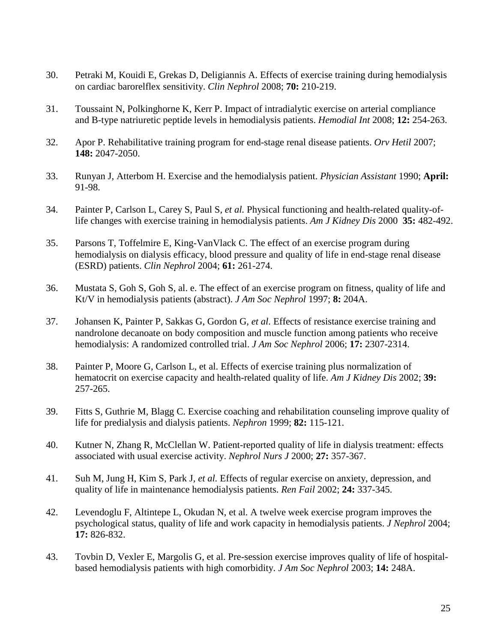- 30. Petraki M, Kouidi E, Grekas D, Deligiannis A. Effects of exercise training during hemodialysis on cardiac barorelflex sensitivity. *Clin Nephrol* 2008; **70:** 210-219.
- 31. Toussaint N, Polkinghorne K, Kerr P. Impact of intradialytic exercise on arterial compliance and B-type natriuretic peptide levels in hemodialysis patients. *Hemodial Int* 2008; **12:** 254-263.
- 32. Apor P. Rehabilitative training program for end-stage renal disease patients. *Orv Hetil* 2007; **148:** 2047-2050.
- 33. Runyan J, Atterbom H. Exercise and the hemodialysis patient. *Physician Assistant* 1990; **April:**  91-98.
- 34. Painter P, Carlson L, Carey S, Paul S*, et al.* Physical functioning and health-related quality-oflife changes with exercise training in hemodialysis patients. *Am J Kidney Dis* 2000 **35:** 482-492.
- 35. Parsons T, Toffelmire E, King-VanVlack C. The effect of an exercise program during hemodialysis on dialysis efficacy, blood pressure and quality of life in end-stage renal disease (ESRD) patients. *Clin Nephrol* 2004; **61:** 261-274.
- 36. Mustata S, Goh S, Goh S, al. e. The effect of an exercise program on fitness, quality of life and Kt/V in hemodialysis patients (abstract). *J Am Soc Nephrol* 1997; **8:** 204A.
- 37. Johansen K, Painter P, Sakkas G, Gordon G*, et al.* Effects of resistance exercise training and nandrolone decanoate on body composition and muscle function among patients who receive hemodialysis: A randomized controlled trial. *J Am Soc Nephrol* 2006; **17:** 2307-2314.
- 38. Painter P, Moore G, Carlson L, et al. Effects of exercise training plus normalization of hematocrit on exercise capacity and health-related quality of life. *Am J Kidney Dis* 2002; **39:**  257-265.
- 39. Fitts S, Guthrie M, Blagg C. Exercise coaching and rehabilitation counseling improve quality of life for predialysis and dialysis patients. *Nephron* 1999; **82:** 115-121.
- 40. Kutner N, Zhang R, McClellan W. Patient-reported quality of life in dialysis treatment: effects associated with usual exercise activity. *Nephrol Nurs J* 2000; **27:** 357-367.
- 41. Suh M, Jung H, Kim S, Park J*, et al.* Effects of regular exercise on anxiety, depression, and quality of life in maintenance hemodialysis patients. *Ren Fail* 2002; **24:** 337-345.
- 42. Levendoglu F, Altintepe L, Okudan N, et al. A twelve week exercise program improves the psychological status, quality of life and work capacity in hemodialysis patients. *J Nephrol* 2004; **17:** 826-832.
- 43. Tovbin D, Vexler E, Margolis G, et al. Pre-session exercise improves quality of life of hospitalbased hemodialysis patients with high comorbidity. *J Am Soc Nephrol* 2003; **14:** 248A.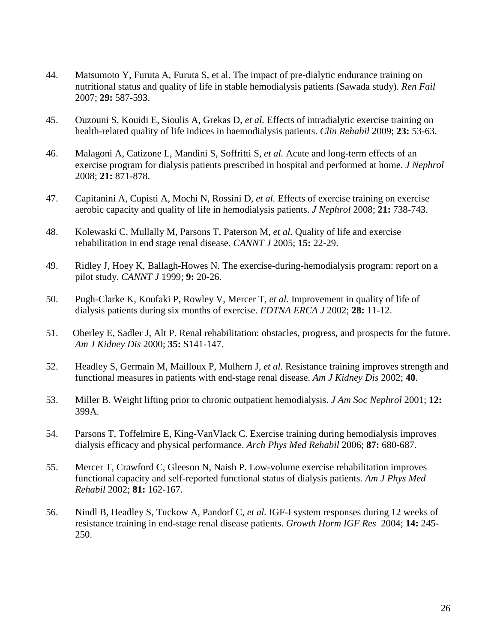- 44. Matsumoto Y, Furuta A, Furuta S, et al. The impact of pre-dialytic endurance training on nutritional status and quality of life in stable hemodialysis patients (Sawada study). *Ren Fail* 2007; **29:** 587-593.
- 45. Ouzouni S, Kouidi E, Sioulis A, Grekas D*, et al.* Effects of intradialytic exercise training on health-related quality of life indices in haemodialysis patients. *Clin Rehabil* 2009; **23:** 53-63.
- 46. Malagoni A, Catizone L, Mandini S, Soffritti S*, et al.* Acute and long-term effects of an exercise program for dialysis patients prescribed in hospital and performed at home. *J Nephrol* 2008; **21:** 871-878.
- 47. Capitanini A, Cupisti A, Mochi N, Rossini D*, et al.* Effects of exercise training on exercise aerobic capacity and quality of life in hemodialysis patients. *J Nephrol* 2008; **21:** 738-743.
- 48. Kolewaski C, Mullally M, Parsons T, Paterson M*, et al.* Quality of life and exercise rehabilitation in end stage renal disease. *CANNT J* 2005; **15:** 22-29.
- 49. Ridley J, Hoey K, Ballagh-Howes N. The exercise-during-hemodialysis program: report on a pilot study. *CANNT J* 1999; **9:** 20-26.
- 50. Pugh-Clarke K, Koufaki P, Rowley V, Mercer T*, et al.* Improvement in quality of life of dialysis patients during six months of exercise. *EDTNA ERCA J* 2002; **28:** 11-12.
- 51. Oberley E, Sadler J, Alt P. Renal rehabilitation: obstacles, progress, and prospects for the future. *Am J Kidney Dis* 2000; **35:** S141-147.
- 52. Headley S, Germain M, Mailloux P, Mulhern J*, et al.* Resistance training improves strength and functional measures in patients with end-stage renal disease. *Am J Kidney Dis* 2002; **40**.
- 53. Miller B. Weight lifting prior to chronic outpatient hemodialysis. *J Am Soc Nephrol* 2001; **12:**  399A.
- 54. Parsons T, Toffelmire E, King-VanVlack C. Exercise training during hemodialysis improves dialysis efficacy and physical performance. *Arch Phys Med Rehabil* 2006; **87:** 680-687.
- 55. Mercer T, Crawford C, Gleeson N, Naish P. Low-volume exercise rehabilitation improves functional capacity and self-reported functional status of dialysis patients. *Am J Phys Med Rehabil* 2002; **81:** 162-167.
- 56. Nindl B, Headley S, Tuckow A, Pandorf C*, et al.* IGF-I system responses during 12 weeks of resistance training in end-stage renal disease patients. *Growth Horm IGF Res* 2004; **14:** 245- 250.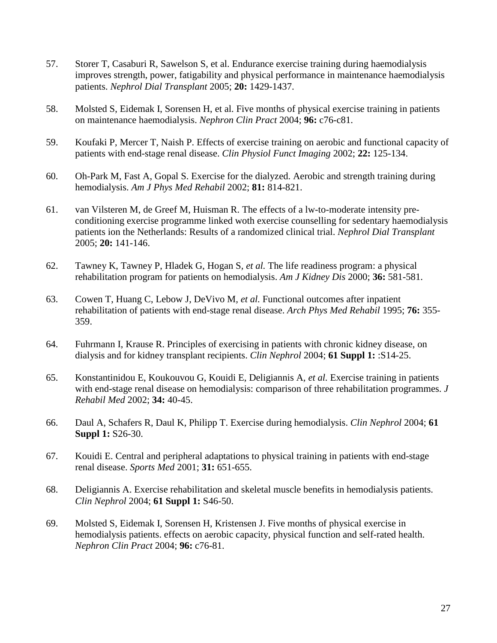- 57. Storer T, Casaburi R, Sawelson S, et al. Endurance exercise training during haemodialysis improves strength, power, fatigability and physical performance in maintenance haemodialysis patients. *Nephrol Dial Transplant* 2005; **20:** 1429-1437.
- 58. Molsted S, Eidemak I, Sorensen H, et al. Five months of physical exercise training in patients on maintenance haemodialysis. *Nephron Clin Pract* 2004; **96:** c76-c81.
- 59. Koufaki P, Mercer T, Naish P. Effects of exercise training on aerobic and functional capacity of patients with end-stage renal disease. *Clin Physiol Funct Imaging* 2002; **22:** 125-134.
- 60. Oh-Park M, Fast A, Gopal S. Exercise for the dialyzed. Aerobic and strength training during hemodialysis. *Am J Phys Med Rehabil* 2002; **81:** 814-821.
- 61. van Vilsteren M, de Greef M, Huisman R. The effects of a lw-to-moderate intensity preconditioning exercise programme linked woth exercise counselling for sedentary haemodialysis patients ion the Netherlands: Results of a randomized clinical trial. *Nephrol Dial Transplant* 2005; **20:** 141-146.
- 62. Tawney K, Tawney P, Hladek G, Hogan S*, et al.* The life readiness program: a physical rehabilitation program for patients on hemodialysis. *Am J Kidney Dis* 2000; **36:** 581-581.
- 63. Cowen T, Huang C, Lebow J, DeVivo M*, et al.* Functional outcomes after inpatient rehabilitation of patients with end-stage renal disease. *Arch Phys Med Rehabil* 1995; **76:** 355- 359.
- 64. Fuhrmann I, Krause R. Principles of exercising in patients with chronic kidney disease, on dialysis and for kidney transplant recipients. *Clin Nephrol* 2004; **61 Suppl 1:** :S14-25.
- 65. Konstantinidou E, Koukouvou G, Kouidi E, Deligiannis A*, et al.* Exercise training in patients with end-stage renal disease on hemodialysis: comparison of three rehabilitation programmes. *J Rehabil Med* 2002; **34:** 40-45.
- 66. Daul A, Schafers R, Daul K, Philipp T. Exercise during hemodialysis. *Clin Nephrol* 2004; **61 Suppl 1:** S26-30.
- 67. Kouidi E. Central and peripheral adaptations to physical training in patients with end-stage renal disease. *Sports Med* 2001; **31:** 651-655.
- 68. Deligiannis A. Exercise rehabilitation and skeletal muscle benefits in hemodialysis patients. *Clin Nephrol* 2004; **61 Suppl 1:** S46-50.
- 69. Molsted S, Eidemak I, Sorensen H, Kristensen J. Five months of physical exercise in hemodialysis patients. effects on aerobic capacity, physical function and self-rated health. *Nephron Clin Pract* 2004; **96:** c76-81.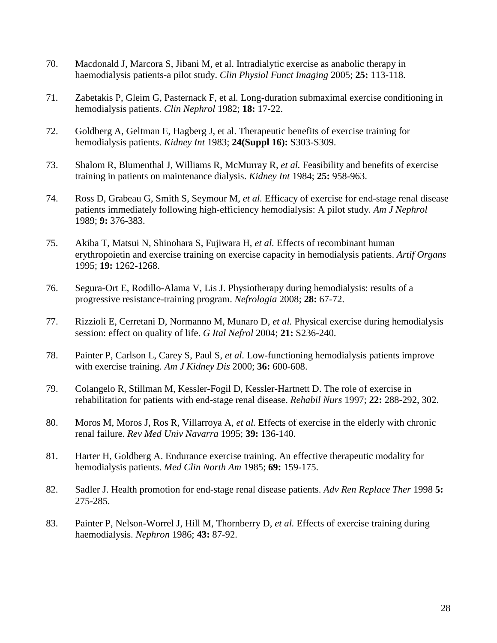- 70. Macdonald J, Marcora S, Jibani M, et al. Intradialytic exercise as anabolic therapy in haemodialysis patients-a pilot study. *Clin Physiol Funct Imaging* 2005; **25:** 113-118.
- 71. Zabetakis P, Gleim G, Pasternack F, et al. Long-duration submaximal exercise conditioning in hemodialysis patients. *Clin Nephrol* 1982; **18:** 17-22.
- 72. Goldberg A, Geltman E, Hagberg J, et al. Therapeutic benefits of exercise training for hemodialysis patients. *Kidney Int* 1983; **24(Suppl 16):** S303-S309.
- 73. Shalom R, Blumenthal J, Williams R, McMurray R*, et al.* Feasibility and benefits of exercise training in patients on maintenance dialysis. *Kidney Int* 1984; **25:** 958-963.
- 74. Ross D, Grabeau G, Smith S, Seymour M*, et al.* Efficacy of exercise for end-stage renal disease patients immediately following high-efficiency hemodialysis: A pilot study. *Am J Nephrol* 1989; **9:** 376-383.
- 75. Akiba T, Matsui N, Shinohara S, Fujiwara H*, et al.* Effects of recombinant human erythropoietin and exercise training on exercise capacity in hemodialysis patients. *Artif Organs* 1995; **19:** 1262-1268.
- 76. Segura-Ort E, Rodillo-Alama V, Lis J. Physiotherapy during hemodialysis: results of a progressive resistance-training program. *Nefrologia* 2008; **28:** 67-72.
- 77. Rizzioli E, Cerretani D, Normanno M, Munaro D*, et al.* Physical exercise during hemodialysis session: effect on quality of life. *G Ital Nefrol* 2004; **21:** S236-240.
- 78. Painter P, Carlson L, Carey S, Paul S*, et al.* Low-functioning hemodialysis patients improve with exercise training. *Am J Kidney Dis* 2000; **36:** 600-608.
- 79. Colangelo R, Stillman M, Kessler-Fogil D, Kessler-Hartnett D. The role of exercise in rehabilitation for patients with end-stage renal disease. *Rehabil Nurs* 1997; **22:** 288-292, 302.
- 80. Moros M, Moros J, Ros R, Villarroya A*, et al.* Effects of exercise in the elderly with chronic renal failure. *Rev Med Univ Navarra* 1995; **39:** 136-140.
- 81. Harter H, Goldberg A. Endurance exercise training. An effective therapeutic modality for hemodialysis patients. *Med Clin North Am* 1985; **69:** 159-175.
- 82. Sadler J. Health promotion for end-stage renal disease patients. *Adv Ren Replace Ther* 1998 **5:**  275-285.
- 83. Painter P, Nelson-Worrel J, Hill M, Thornberry D*, et al.* Effects of exercise training during haemodialysis. *Nephron* 1986; **43:** 87-92.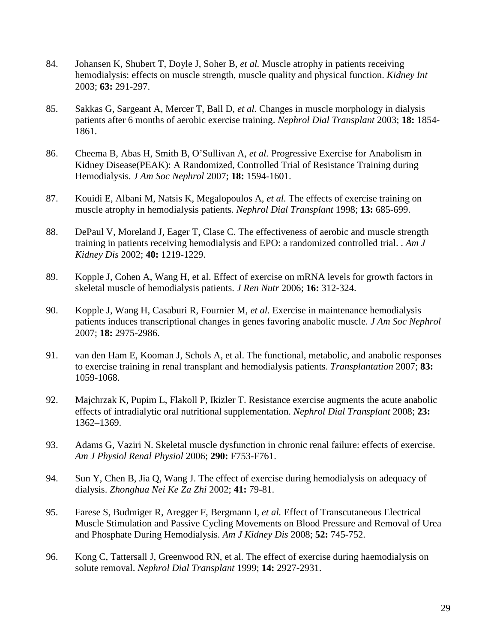- 84. Johansen K, Shubert T, Doyle J, Soher B*, et al.* Muscle atrophy in patients receiving hemodialysis: effects on muscle strength, muscle quality and physical function. *Kidney Int* 2003; **63:** 291-297.
- 85. Sakkas G, Sargeant A, Mercer T, Ball D*, et al.* Changes in muscle morphology in dialysis patients after 6 months of aerobic exercise training. *Nephrol Dial Transplant* 2003; **18:** 1854- 1861.
- 86. Cheema B, Abas H, Smith B, O'Sullivan A*, et al.* Progressive Exercise for Anabolism in Kidney Disease(PEAK): A Randomized, Controlled Trial of Resistance Training during Hemodialysis. *J Am Soc Nephrol* 2007; **18:** 1594-1601.
- 87. Kouidi E, Albani M, Natsis K, Megalopoulos A*, et al.* The effects of exercise training on muscle atrophy in hemodialysis patients. *Nephrol Dial Transplant* 1998; **13:** 685-699.
- 88. DePaul V, Moreland J, Eager T, Clase C. The effectiveness of aerobic and muscle strength training in patients receiving hemodialysis and EPO: a randomized controlled trial. . *Am J Kidney Dis* 2002; **40:** 1219-1229.
- 89. Kopple J, Cohen A, Wang H, et al. Effect of exercise on mRNA levels for growth factors in skeletal muscle of hemodialysis patients. *J Ren Nutr* 2006; **16:** 312-324.
- 90. Kopple J, Wang H, Casaburi R, Fournier M*, et al.* Exercise in maintenance hemodialysis patients induces transcriptional changes in genes favoring anabolic muscle. *J Am Soc Nephrol* 2007; **18:** 2975-2986.
- 91. van den Ham E, Kooman J, Schols A, et al. The functional, metabolic, and anabolic responses to exercise training in renal transplant and hemodialysis patients. *Transplantation* 2007; **83:**  1059-1068.
- 92. Majchrzak K, Pupim L, Flakoll P, Ikizler T. Resistance exercise augments the acute anabolic effects of intradialytic oral nutritional supplementation. *Nephrol Dial Transplant* 2008; **23:**  1362–1369.
- 93. Adams G, Vaziri N. Skeletal muscle dysfunction in chronic renal failure: effects of exercise. *Am J Physiol Renal Physiol* 2006; **290:** F753-F761.
- 94. Sun Y, Chen B, Jia Q, Wang J. The effect of exercise during hemodialysis on adequacy of dialysis. *Zhonghua Nei Ke Za Zhi* 2002; **41:** 79-81.
- 95. Farese S, Budmiger R, Aregger F, Bergmann I*, et al.* Effect of Transcutaneous Electrical Muscle Stimulation and Passive Cycling Movements on Blood Pressure and Removal of Urea and Phosphate During Hemodialysis. *Am J Kidney Dis* 2008; **52:** 745-752.
- 96. Kong C, Tattersall J, Greenwood RN, et al. The effect of exercise during haemodialysis on solute removal. *Nephrol Dial Transplant* 1999; **14:** 2927-2931.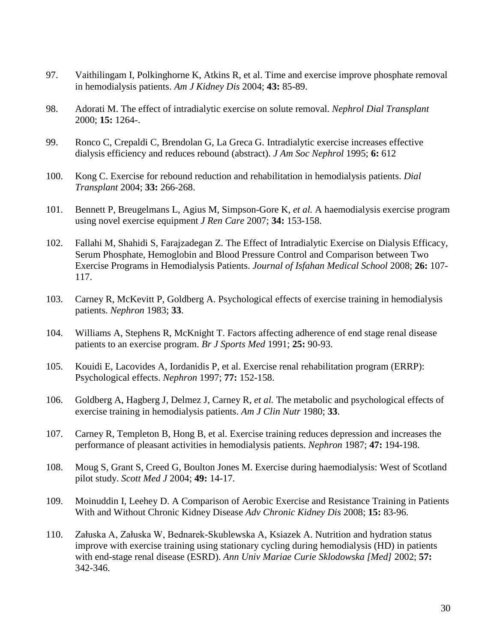- 97. Vaithilingam I, Polkinghorne K, Atkins R, et al. Time and exercise improve phosphate removal in hemodialysis patients. *Am J Kidney Dis* 2004; **43:** 85-89.
- 98. Adorati M. The effect of intradialytic exercise on solute removal. *Nephrol Dial Transplant* 2000; **15:** 1264-.
- 99. Ronco C, Crepaldi C, Brendolan G, La Greca G. Intradialytic exercise increases effective dialysis efficiency and reduces rebound (abstract). *J Am Soc Nephrol* 1995; **6:** 612
- 100. Kong C. Exercise for rebound reduction and rehabilitation in hemodialysis patients. *Dial Transplant* 2004; **33:** 266-268.
- 101. Bennett P, Breugelmans L, Agius M, Simpson-Gore K*, et al.* A haemodialysis exercise program using novel exercise equipment *J Ren Care* 2007; **34:** 153-158.
- 102. Fallahi M, Shahidi S, Farajzadegan Z. The Effect of Intradialytic Exercise on Dialysis Efficacy, Serum Phosphate, Hemoglobin and Blood Pressure Control and Comparison between Two Exercise Programs in Hemodialysis Patients. *Journal of Isfahan Medical School* 2008; **26:** 107- 117.
- 103. Carney R, McKevitt P, Goldberg A. Psychological effects of exercise training in hemodialysis patients. *Nephron* 1983; **33**.
- 104. Williams A, Stephens R, McKnight T. Factors affecting adherence of end stage renal disease patients to an exercise program. *Br J Sports Med* 1991; **25:** 90-93.
- 105. Kouidi E, Lacovides A, Iordanidis P, et al. Exercise renal rehabilitation program (ERRP): Psychological effects. *Nephron* 1997; **77:** 152-158.
- 106. Goldberg A, Hagberg J, Delmez J, Carney R*, et al.* The metabolic and psychological effects of exercise training in hemodialysis patients. *Am J Clin Nutr* 1980; **33**.
- 107. Carney R, Templeton B, Hong B, et al. Exercise training reduces depression and increases the performance of pleasant activities in hemodialysis patients. *Nephron* 1987; **47:** 194-198.
- 108. Moug S, Grant S, Creed G, Boulton Jones M. Exercise during haemodialysis: West of Scotland pilot study. *Scott Med J* 2004; **49:** 14-17.
- 109. Moinuddin I, Leehey D. A Comparison of Aerobic Exercise and Resistance Training in Patients With and Without Chronic Kidney Disease *Adv Chronic Kidney Dis* 2008; **15:** 83-96.
- 110. Załuska A, Załuska W, Bednarek-Skublewska A, Ksiazek A. Nutrition and hydration status improve with exercise training using stationary cycling during hemodialysis (HD) in patients with end-stage renal disease (ESRD). *Ann Univ Mariae Curie Sklodowska [Med]* 2002; **57:**  342-346.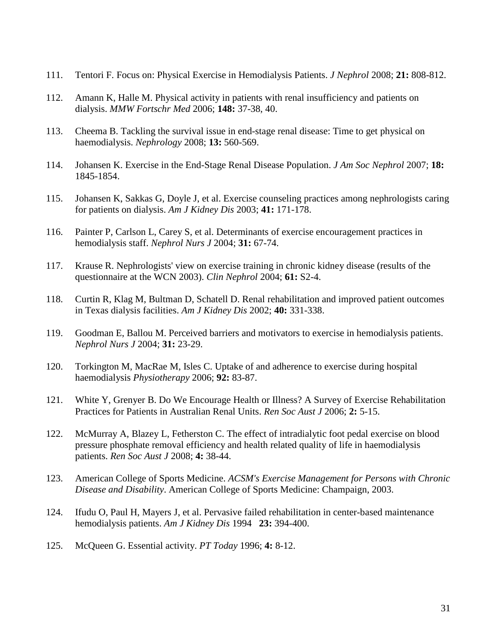- 111. Tentori F. Focus on: Physical Exercise in Hemodialysis Patients. *J Nephrol* 2008; **21:** 808-812.
- 112. Amann K, Halle M. Physical activity in patients with renal insufficiency and patients on dialysis. *MMW Fortschr Med* 2006; **148:** 37-38, 40.
- 113. Cheema B. Tackling the survival issue in end-stage renal disease: Time to get physical on haemodialysis. *Nephrology* 2008; **13:** 560-569.
- 114. Johansen K. Exercise in the End-Stage Renal Disease Population. *J Am Soc Nephrol* 2007; **18:**  1845-1854.
- 115. Johansen K, Sakkas G, Doyle J, et al. Exercise counseling practices among nephrologists caring for patients on dialysis. *Am J Kidney Dis* 2003; **41:** 171-178.
- 116. Painter P, Carlson L, Carey S, et al. Determinants of exercise encouragement practices in hemodialysis staff. *Nephrol Nurs J* 2004; **31:** 67-74.
- 117. Krause R. Nephrologists' view on exercise training in chronic kidney disease (results of the questionnaire at the WCN 2003). *Clin Nephrol* 2004; **61:** S2-4.
- 118. Curtin R, Klag M, Bultman D, Schatell D. Renal rehabilitation and improved patient outcomes in Texas dialysis facilities. *Am J Kidney Dis* 2002; **40:** 331-338.
- 119. Goodman E, Ballou M. Perceived barriers and motivators to exercise in hemodialysis patients. *Nephrol Nurs J* 2004; **31:** 23-29.
- 120. Torkington M, MacRae M, Isles C. Uptake of and adherence to exercise during hospital haemodialysis *Physiotherapy* 2006; **92:** 83-87.
- 121. White Y, Grenyer B. Do We Encourage Health or Illness? A Survey of Exercise Rehabilitation Practices for Patients in Australian Renal Units. *Ren Soc Aust J* 2006; **2:** 5-15.
- 122. McMurray A, Blazey L, Fetherston C. The effect of intradialytic foot pedal exercise on blood pressure phosphate removal efficiency and health related quality of life in haemodialysis patients. *Ren Soc Aust J* 2008; **4:** 38-44.
- 123. American College of Sports Medicine. *ACSM's Exercise Management for Persons with Chronic Disease and Disability*. American College of Sports Medicine: Champaign, 2003.
- 124. Ifudu O, Paul H, Mayers J, et al. Pervasive failed rehabilitation in center-based maintenance hemodialysis patients. *Am J Kidney Dis* 1994 **23:** 394-400.
- 125. McQueen G. Essential activity. *PT Today* 1996; **4:** 8-12.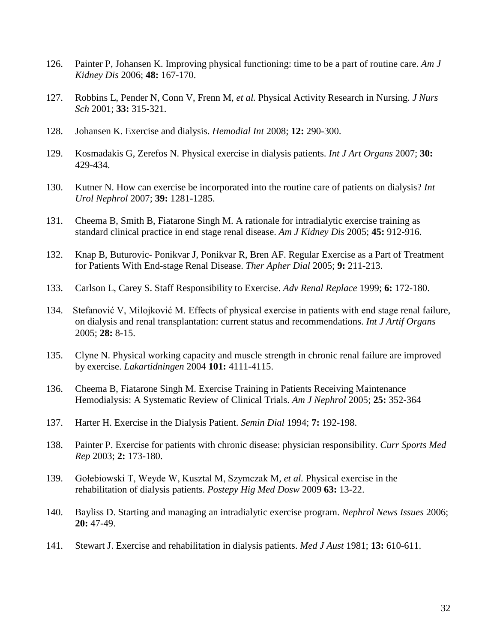- 126. Painter P, Johansen K. Improving physical functioning: time to be a part of routine care. *Am J Kidney Dis* 2006; **48:** 167-170.
- 127. Robbins L, Pender N, Conn V, Frenn M*, et al.* Physical Activity Research in Nursing. *J Nurs Sch* 2001; **33:** 315-321.
- 128. Johansen K. Exercise and dialysis. *Hemodial Int* 2008; **12:** 290-300.
- 129. Kosmadakis G, Zerefos N. Physical exercise in dialysis patients. *Int J Art Organs* 2007; **30:**  429-434.
- 130. Kutner N. How can exercise be incorporated into the routine care of patients on dialysis? *Int Urol Nephrol* 2007; **39:** 1281-1285.
- 131. Cheema B, Smith B, Fiatarone Singh M. A rationale for intradialytic exercise training as standard clinical practice in end stage renal disease. *Am J Kidney Dis* 2005; **45:** 912-916.
- 132. Knap B, Buturovic- Ponikvar J, Ponikvar R, Bren AF. Regular Exercise as a Part of Treatment for Patients With End-stage Renal Disease. *Ther Apher Dial* 2005; **9:** 211-213.
- 133. Carlson L, Carey S. Staff Responsibility to Exercise. *Adv Renal Replace* 1999; **6:** 172-180.
- 134. Stefanović V, Milojković M. Effects of physical exercise in patients with end stage renal failure, on dialysis and renal transplantation: current status and recommendations. *Int J Artif Organs* 2005; **28:** 8-15.
- 135. Clyne N. Physical working capacity and muscle strength in chronic renal failure are improved by exercise. *Lakartidningen* 2004 **101:** 4111-4115.
- 136. Cheema B, Fiatarone Singh M. Exercise Training in Patients Receiving Maintenance Hemodialysis: A Systematic Review of Clinical Trials. *Am J Nephrol* 2005; **25:** 352-364
- 137. Harter H. Exercise in the Dialysis Patient. *Semin Dial* 1994; **7:** 192-198.
- 138. Painter P. Exercise for patients with chronic disease: physician responsibility. *Curr Sports Med Rep* 2003; **2:** 173-180.
- 139. Gołebiowski T, Weyde W, Kusztal M, Szymczak M*, et al.* Physical exercise in the rehabilitation of dialysis patients. *Postepy Hig Med Dosw* 2009 **63:** 13-22.
- 140. Bayliss D. Starting and managing an intradialytic exercise program. *Nephrol News Issues* 2006; **20:** 47-49.
- 141. Stewart J. Exercise and rehabilitation in dialysis patients. *Med J Aust* 1981; **13:** 610-611.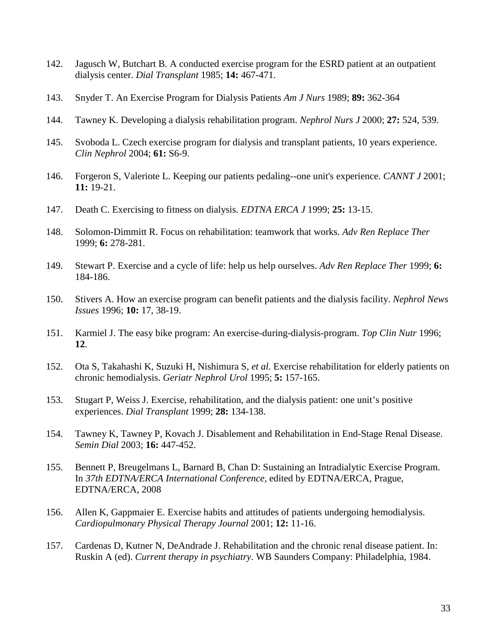- 142. Jagusch W, Butchart B. A conducted exercise program for the ESRD patient at an outpatient dialysis center. *Dial Transplant* 1985; **14:** 467-471.
- 143. Snyder T. An Exercise Program for Dialysis Patients *Am J Nurs* 1989; **89:** 362-364
- 144. Tawney K. Developing a dialysis rehabilitation program. *Nephrol Nurs J* 2000; **27:** 524, 539.
- 145. Svoboda L. Czech exercise program for dialysis and transplant patients, 10 years experience. *Clin Nephrol* 2004; **61:** S6-9.
- 146. Forgeron S, Valeriote L. Keeping our patients pedaling--one unit's experience. *CANNT J* 2001; **11:** 19-21.
- 147. Death C. Exercising to fitness on dialysis. *EDTNA ERCA J* 1999; **25:** 13-15.
- 148. Solomon-Dimmitt R. Focus on rehabilitation: teamwork that works. *Adv Ren Replace Ther* 1999; **6:** 278-281.
- 149. Stewart P. Exercise and a cycle of life: help us help ourselves. *Adv Ren Replace Ther* 1999; **6:**  184-186.
- 150. Stivers A. How an exercise program can benefit patients and the dialysis facility. *Nephrol News Issues* 1996; **10:** 17, 38-19.
- 151. Karmiel J. The easy bike program: An exercise-during-dialysis-program. *Top Clin Nutr* 1996; **12**.
- 152. Ota S, Takahashi K, Suzuki H, Nishimura S*, et al.* Exercise rehabilitation for elderly patients on chronic hemodialysis. *Geriatr Nephrol Urol* 1995; **5:** 157-165.
- 153. Stugart P, Weiss J. Exercise, rehabilitation, and the dialysis patient: one unit's positive experiences. *Dial Transplant* 1999; **28:** 134-138.
- 154. Tawney K, Tawney P, Kovach J. Disablement and Rehabilitation in End-Stage Renal Disease. *Semin Dial* 2003; **16:** 447-452.
- 155. Bennett P, Breugelmans L, Barnard B, Chan D: Sustaining an Intradialytic Exercise Program. In *37th EDTNA/ERCA International Conference*, edited by EDTNA/ERCA, Prague, EDTNA/ERCA, 2008
- 156. Allen K, Gappmaier E. Exercise habits and attitudes of patients undergoing hemodialysis. *Cardiopulmonary Physical Therapy Journal* 2001; **12:** 11-16.
- 157. Cardenas D, Kutner N, DeAndrade J. Rehabilitation and the chronic renal disease patient. In: Ruskin A (ed). *Current therapy in psychiatry*. WB Saunders Company: Philadelphia, 1984.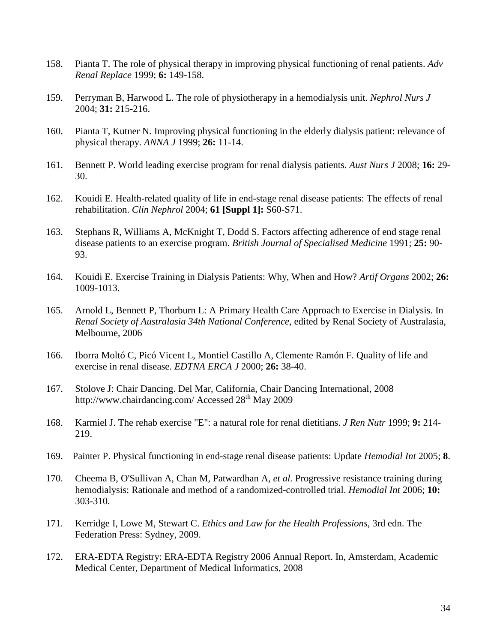- 158. Pianta T. The role of physical therapy in improving physical functioning of renal patients. *Adv Renal Replace* 1999; **6:** 149-158.
- 159. Perryman B, Harwood L. The role of physiotherapy in a hemodialysis unit. *Nephrol Nurs J* 2004; **31:** 215-216.
- 160. Pianta T, Kutner N. Improving physical functioning in the elderly dialysis patient: relevance of physical therapy. *ANNA J* 1999; **26:** 11-14.
- 161. Bennett P. World leading exercise program for renal dialysis patients. *Aust Nurs J* 2008; **16:** 29- 30.
- 162. Kouidi E. Health-related quality of life in end-stage renal disease patients: The effects of renal rehabilitation. *Clin Nephrol* 2004; **61 [Suppl 1]:** S60-S71.
- 163. Stephans R, Williams A, McKnight T, Dodd S. Factors affecting adherence of end stage renal disease patients to an exercise program. *British Journal of Specialised Medicine* 1991; **25:** 90- 93.
- 164. Kouidi E. Exercise Training in Dialysis Patients: Why, When and How? *Artif Organs* 2002; **26:**  1009-1013.
- 165. Arnold L, Bennett P, Thorburn L: A Primary Health Care Approach to Exercise in Dialysis. In *Renal Society of Australasia 34th National Conference*, edited by Renal Society of Australasia, Melbourne, 2006
- 166. Iborra Moltó C, Picó Vicent L, Montiel Castillo A, Clemente Ramón F. Quality of life and exercise in renal disease. *EDTNA ERCA J* 2000; **26:** 38-40.
- 167. Stolove J: Chair Dancing. Del Mar, California, Chair Dancing International, 2008 http://www.chairdancing.com/ Accessed  $28<sup>th</sup>$  May 2009
- 168. Karmiel J. The rehab exercise "E": a natural role for renal dietitians. *J Ren Nutr* 1999; **9:** 214- 219.
- 169. Painter P. Physical functioning in end-stage renal disease patients: Update *Hemodial Int* 2005; **8**.
- 170. Cheema B, O'Sullivan A, Chan M, Patwardhan A*, et al.* Progressive resistance training during hemodialysis: Rationale and method of a randomized-controlled trial. *Hemodial Int* 2006; **10:**  303-310.
- 171. Kerridge I, Lowe M, Stewart C. *Ethics and Law for the Health Professions*, 3rd edn. The Federation Press: Sydney, 2009.
- 172. ERA-EDTA Registry: ERA-EDTA Registry 2006 Annual Report. In, Amsterdam, Academic Medical Center, Department of Medical Informatics, 2008